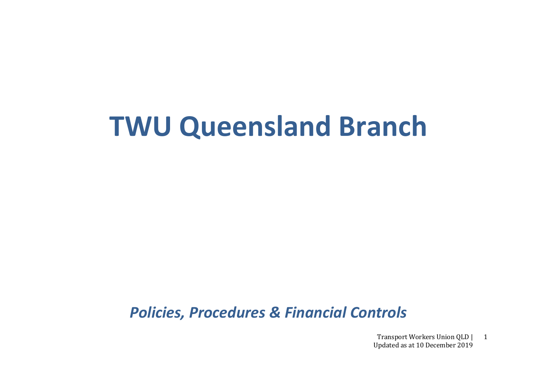# **TWU Queensland Branch**

*Policies, Procedures & Financial Controls*

Transport Workers Union QLD | Updated as at 10 December 2019 1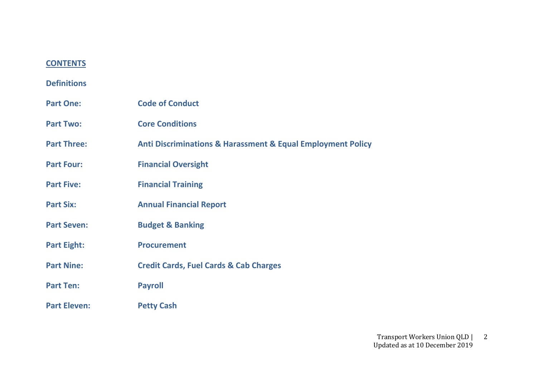# **CONTENTS**

# **Definitions**

| <b>Part One:</b>    | <b>Code of Conduct</b>                                                     |
|---------------------|----------------------------------------------------------------------------|
| <b>Part Two:</b>    | <b>Core Conditions</b>                                                     |
| <b>Part Three:</b>  | <b>Anti Discriminations &amp; Harassment &amp; Equal Employment Policy</b> |
| <b>Part Four:</b>   | <b>Financial Oversight</b>                                                 |
| <b>Part Five:</b>   | <b>Financial Training</b>                                                  |
| <b>Part Six:</b>    | <b>Annual Financial Report</b>                                             |
| <b>Part Seven:</b>  | <b>Budget &amp; Banking</b>                                                |
| <b>Part Eight:</b>  | <b>Procurement</b>                                                         |
| <b>Part Nine:</b>   | <b>Credit Cards, Fuel Cards &amp; Cab Charges</b>                          |
| <b>Part Ten:</b>    | <b>Payroll</b>                                                             |
| <b>Part Eleven:</b> | <b>Petty Cash</b>                                                          |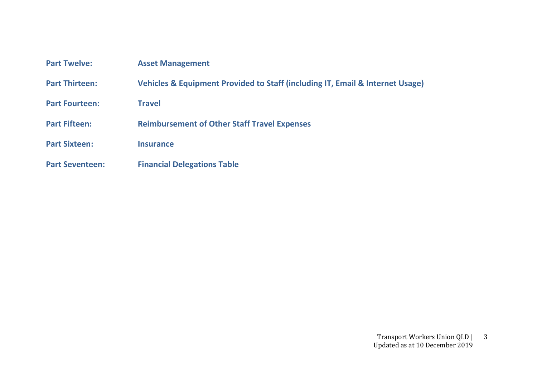| <b>Part Twelve:</b>    | <b>Asset Management</b>                                                       |
|------------------------|-------------------------------------------------------------------------------|
| <b>Part Thirteen:</b>  | Vehicles & Equipment Provided to Staff (including IT, Email & Internet Usage) |
| <b>Part Fourteen:</b>  | <b>Travel</b>                                                                 |
| <b>Part Fifteen:</b>   | <b>Reimbursement of Other Staff Travel Expenses</b>                           |
| <b>Part Sixteen:</b>   | <b>Insurance</b>                                                              |
| <b>Part Seventeen:</b> | <b>Financial Delegations Table</b>                                            |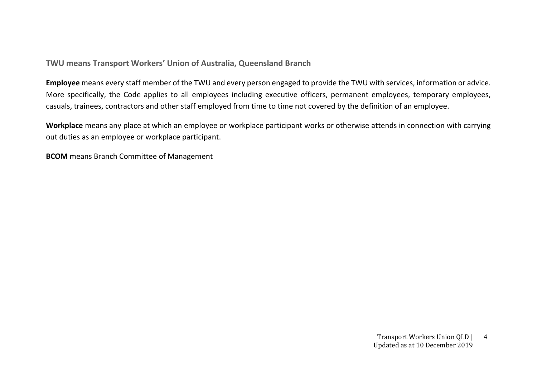**TWU means Transport Workers' Union of Australia, Queensland Branch**

**Employee** means every staff member of the TWU and every person engaged to provide the TWU with services, information or advice. More specifically, the Code applies to all employees including executive officers, permanent employees, temporary employees, casuals, trainees, contractors and other staff employed from time to time not covered by the definition of an employee.

**Workplace** means any place at which an employee or workplace participant works or otherwise attends in connection with carrying out duties as an employee or workplace participant.

**BCOM** means Branch Committee of Management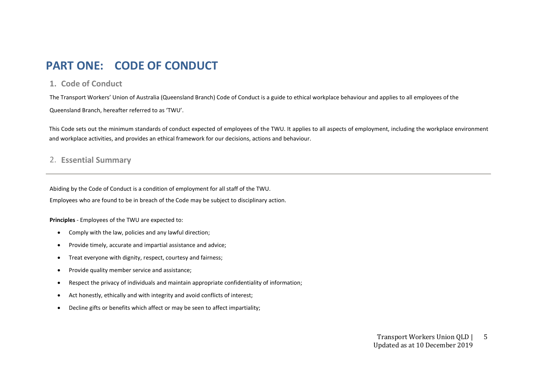# **PART ONE: CODE OF CONDUCT**

### **1. Code of Conduct**

The Transport Workers' Union of Australia (Queensland Branch) Code of Conduct is a guide to ethical workplace behaviour and applies to all employees of the Queensland Branch, hereafter referred to as 'TWU'.

This Code sets out the minimum standards of conduct expected of employees of the TWU. It applies to all aspects of employment, including the workplace environment and workplace activities, and provides an ethical framework for our decisions, actions and behaviour.

# 2. **Essential Summary**

Abiding by the Code of Conduct is a condition of employment for all staff of the TWU.

Employees who are found to be in breach of the Code may be subject to disciplinary action.

**Principles** - Employees of the TWU are expected to:

- Comply with the law, policies and any lawful direction;
- Provide timely, accurate and impartial assistance and advice;
- Treat everyone with dignity, respect, courtesy and fairness;
- Provide quality member service and assistance;
- Respect the privacy of individuals and maintain appropriate confidentiality of information;
- Act honestly, ethically and with integrity and avoid conflicts of interest;
- Decline gifts or benefits which affect or may be seen to affect impartiality;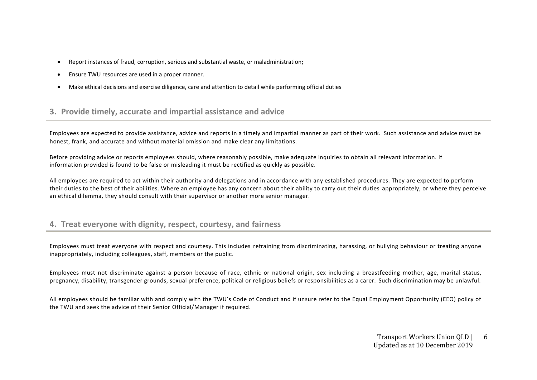- Report instances of fraud, corruption, serious and substantial waste, or maladministration;
- Ensure TWU resources are used in a proper manner.
- Make ethical decisions and exercise diligence, care and attention to detail while performing official duties

# **3. Provide timely, accurate and impartial assistance and advice**

Employees are expected to provide assistance, advice and reports in a timely and impartial manner as part of their work. Such assistance and advice must be honest, frank, and accurate and without material omission and make clear any limitations.

Before providing advice or reports employees should, where reasonably possible, make adequate inquiries to obtain all relevant information. If information provided is found to be false or misleading it must be rectified as quickly as possible.

All employees are required to act within their authority and delegations and in accordance with any established procedures. They are expected to perform their duties to the best of their abilities. Where an employee has any concern about their ability to carry out their duties appropriately, or where they perceive an ethical dilemma, they should consult with their supervisor or another more senior manager.

# **4. Treat everyone with dignity, respect, courtesy, and fairness**

Employees must treat everyone with respect and courtesy. This includes refraining from discriminating, harassing, or bullying behaviour or treating anyone inappropriately, including colleagues, staff, members or the public.

Employees must not discriminate against a person because of race, ethnic or national origin, sex inclu ding a breastfeeding mother, age, marital status, pregnancy, disability, transgender grounds, sexual preference, political or religious beliefs or responsibilities as a carer. Such discrimination may be unlawful.

All employees should be familiar with and comply with the TWU's Code of Conduct and if unsure refer to the Equal Employment Opportunity (EEO) policy of the TWU and seek the advice of their Senior Official/Manager if required.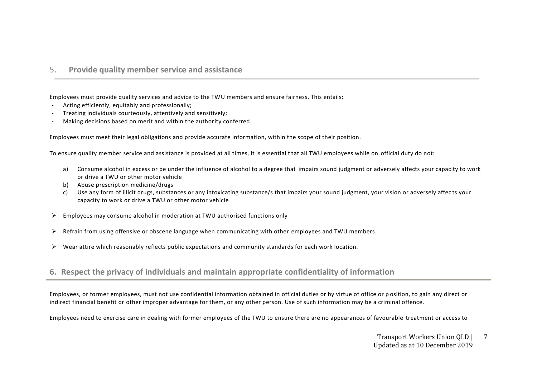### 5. **Provide quality member service and assistance**

Employees must provide quality services and advice to the TWU members and ensure fairness. This entails:

- Acting efficiently, equitably and professionally;
- Treating individuals courteously, attentively and sensitively;
- Making decisions based on merit and within the authority conferred.

Employees must meet their legal obligations and provide accurate information, within the scope of their position.

To ensure quality member service and assistance is provided at all times, it is essential that all TWU employees while on official duty do not:

- a) Consume alcohol in excess or be under the influence of alcohol to a degree that impairs sound judgment or adversely affects your capacity to work or drive a TWU or other motor vehicle
- b) Abuse prescription medicine/drugs
- c) Use any form of illicit drugs, substances or any intoxicating substance/s that impairs your sound judgment, your vision or adversely affec ts your capacity to work or drive a TWU or other motor vehicle
- ➢ Employees may consume alcohol in moderation at TWU authorised functions only
- ➢ Refrain from using offensive or obscene language when communicating with other employees and TWU members.
- $\triangleright$  Wear attire which reasonably reflects public expectations and community standards for each work location.

# **6. Respect the privacy of individuals and maintain appropriate confidentiality of information**

Employees, or former employees, must not use confidential information obtained in official duties or by virtue of office or p osition, to gain any direct or indirect financial benefit or other improper advantage for them, or any other person. Use of such information may be a criminal offence.

Employees need to exercise care in dealing with former employees of the TWU to ensure there are no appearances of favourable treatment or access to

Transport Workers Union QLD | Updated as at 10 December 2019 7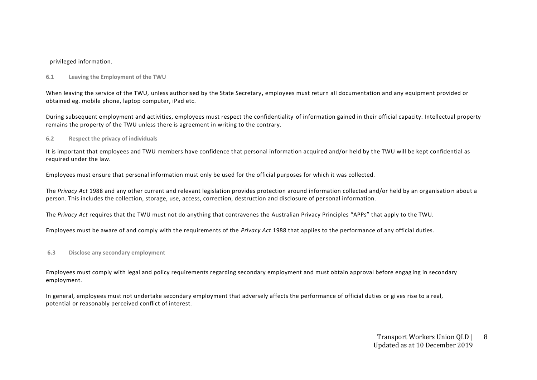#### privileged information.

#### **6.1 Leaving the Employment of the TWU**

When leaving the service of the TWU, unless authorised by the State Secretary**,** employees must return all documentation and any equipment provided or obtained eg. mobile phone, laptop computer, iPad etc.

During subsequent employment and activities, employees must respect the confidentiality of information gained in their official capacity. Intellectual property remains the property of the TWU unless there is agreement in writing to the contrary.

#### **6.2 Respect the privacy of individuals**

It is important that employees and TWU members have confidence that personal information acquired and/or held by the TWU will be kept confidential as required under the law.

Employees must ensure that personal information must only be used for the official purposes for which it was collected.

The *Privacy Act* 1988 and any other current and relevant legislation provides protection around information collected and/or held by an organisatio n about a person. This includes the collection, storage, use, access, correction, destruction and disclosure of personal information.

The *Privacy Act* requires that the TWU must not do anything that contravenes the Australian Privacy Principles "APPs" that apply to the TWU.

Employees must be aware of and comply with the requirements of the *Privacy Act* 1988 that applies to the performance of any official duties.

#### **6.3 Disclose any secondary employment**

Employees must comply with legal and policy requirements regarding secondary employment and must obtain approval before engag ing in secondary employment.

In general, employees must not undertake secondary employment that adversely affects the performance of official duties or gi ves rise to a real, potential or reasonably perceived conflict of interest.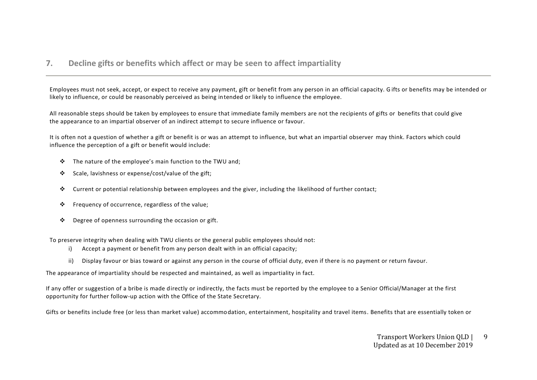# **7. Decline gifts or benefits which affect or may be seen to affect impartiality**

Employees must not seek, accept, or expect to receive any payment, gift or benefit from any person in an official capacity. G ifts or benefits may be intended or likely to influence, or could be reasonably perceived as being intended or likely to influence the employee.

All reasonable steps should be taken by employees to ensure that immediate family members are not the recipients of gifts or benefits that could give the appearance to an impartial observer of an indirect attempt to secure influence or favour.

It is often not a question of whether a gift or benefit is or was an attempt to influence, but what an impartial observer may think. Factors which could influence the perception of a gift or benefit would include:

- ❖ The nature of the employee's main function to the TWU and;
- ❖ Scale, lavishness or expense/cost/value of the gift;
- ❖ Current or potential relationship between employees and the giver, including the likelihood of further contact;
- ❖ Frequency of occurrence, regardless of the value;
- ❖ Degree of openness surrounding the occasion or gift.

To preserve integrity when dealing with TWU clients or the general public employees should not:

- i) Accept a payment or benefit from any person dealt with in an official capacity;
- ii) Display favour or bias toward or against any person in the course of official duty, even if there is no payment or return favour.

The appearance of impartiality should be respected and maintained, as well as impartiality in fact.

If any offer or suggestion of a bribe is made directly or indirectly, the facts must be reported by the employee to a Senior Official/Manager at the first opportunity for further follow-up action with the Office of the State Secretary.

Gifts or benefits include free (or less than market value) accommodation, entertainment, hospitality and travel items. Benefits that are essentially token or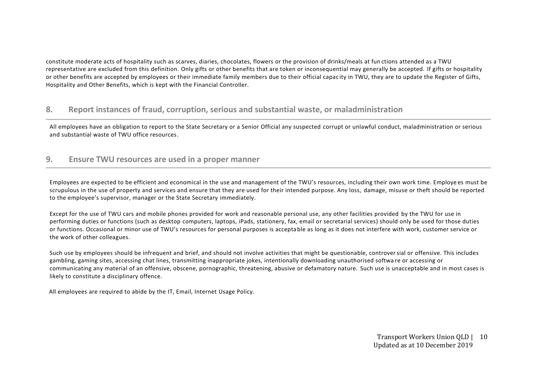constitute moderate acts of hospitality such as scarves, diaries, chocolates, flowers or the provision of drinks/meals at fun ctions attended as a TWU representative are excluded from this definition. Only gifts or other benefits that are token or inconsequential may generally be accepted. If gifts or hospitality or other benefits are accepted by employees or their immediate family members due to their official capac ity in TWU, they are to update the Register of Gifts, Hospitality and Other Benefits, which is kept with the Financial Controller.

# **8. Report instances of fraud, corruption, serious and substantial waste, or maladministration**

All employees have an obligation to report to the State Secretary or a Senior Official any suspected corrupt or unlawful conduct, maladministration or serious and substantial waste of TWU office resources.

# **9. Ensure TWU resources are used in a proper manner**

Employees are expected to be efficient and economical in the use and management of the TWU's resources, including their own work time. Employe es must be scrupulous in the use of property and services and ensure that they are used for their intended purpose. Any loss, damage, misuse or theft should be reported to the employee's supervisor, manager or the State Secretary immediately.

Except for the use of TWU cars and mobile phones provided for work and reasonable personal use, any other facilities provided by the TWU for use in performing duties or functions (such as desktop computers, laptops, iPads, stationery, fax, email or secretarial services) should only be used for those duties or functions. Occasional or minor use of TWU's resources for personal purposes is acceptable as long as it does not interfere with work, customer service or the work of other colleagues.

Such use by employees should be infrequent and brief, and should not involve activities that might be questionable, controversial or offensive. This includes gambling, gaming sites, accessing chat lines, transmitting inappropriate jokes, intentionally downloading unauthorised softwa re or accessing or communicating any material of an offensive, obscene, pornographic, threatening, abusive or defamatory nature. Such use is unacceptable and in most cases is likely to constitute a disciplinary offence.

All employees are required to abide by the IT, Email, Internet Usage Policy.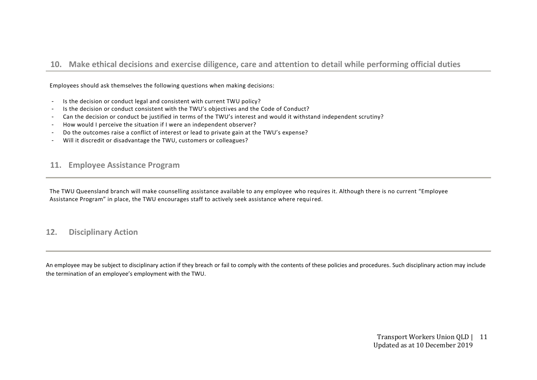# **10. Make ethical decisions and exercise diligence, care and attention to detail while performing official duties**

Employees should ask themselves the following questions when making decisions:

- Is the decision or conduct legal and consistent with current TWU policy?
- Is the decision or conduct consistent with the TWU's objectives and the Code of Conduct?
- Can the decision or conduct be justified in terms of the TWU's interest and would it withstand independent scrutiny?
- How would I perceive the situation if I were an independent observer?
- Do the outcomes raise a conflict of interest or lead to private gain at the TWU's expense?
- Will it discredit or disadvantage the TWU, customers or colleagues?

### **11. Employee Assistance Program**

The TWU Queensland branch will make counselling assistance available to any employee who requires it. Although there is no current "Employee Assistance Program" in place, the TWU encourages staff to actively seek assistance where required.

# **12. Disciplinary Action**

An employee may be subject to disciplinary action if they breach or fail to comply with the contents of these policies and procedures. Such disciplinary action may include the termination of an employee's employment with the TWU.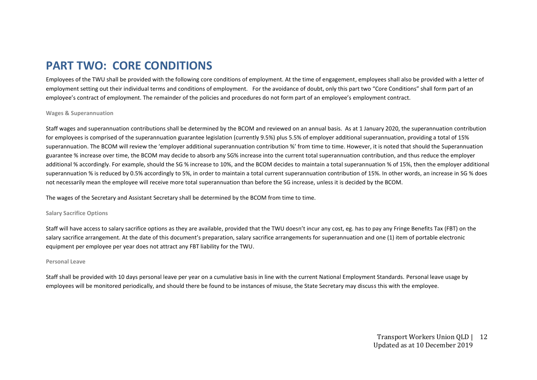# **PART TWO: CORE CONDITIONS**

Employees of the TWU shall be provided with the following core conditions of employment. At the time of engagement, employees shall also be provided with a letter of employment setting out their individual terms and conditions of employment. For the avoidance of doubt, only this part two "Core Conditions" shall form part of an employee's contract of employment. The remainder of the policies and procedures do not form part of an employee's employment contract.

#### **Wages & Superannuation**

Staff wages and superannuation contributions shall be determined by the BCOM and reviewed on an annual basis. As at 1 January 2020, the superannuation contribution for emplovees is comprised of the superannuation guarantee legislation (currently 9.5%) plus 5.5% of employer additional superannuation, providing a total of 15% superannuation. The BCOM will review the 'employer additional superannuation contribution %' from time to time. However, it is noted that should the Superannuation guarantee % increase over time, the BCOM may decide to absorb any SG% increase into the current total superannuation contribution, and thus reduce the employer additional % accordingly. For example, should the SG % increase to 10%, and the BCOM decides to maintain a total superannuation % of 15%, then the employer additional superannuation % is reduced by 0.5% accordingly to 5%, in order to maintain a total current superannuation contribution of 15%. In other words, an increase in SG % does not necessarily mean the employee will receive more total superannuation than before the SG increase, unless it is decided by the BCOM.

The wages of the Secretary and Assistant Secretary shall be determined by the BCOM from time to time.

#### **Salary Sacrifice Options**

Staff will have access to salary sacrifice options as they are available, provided that the TWU doesn't incur any cost, eg. has to pay any Fringe Benefits Tax (FBT) on the salary sacrifice arrangement. At the date of this document's preparation, salary sacrifice arrangements for superannuation and one (1) item of portable electronic equipment per employee per year does not attract any FBT liability for the TWU.

#### **Personal Leave**

Staff shall be provided with 10 days personal leave per year on a cumulative basis in line with the current National Employment Standards. Personal leave usage by employees will be monitored periodically, and should there be found to be instances of misuse, the State Secretary may discuss this with the employee.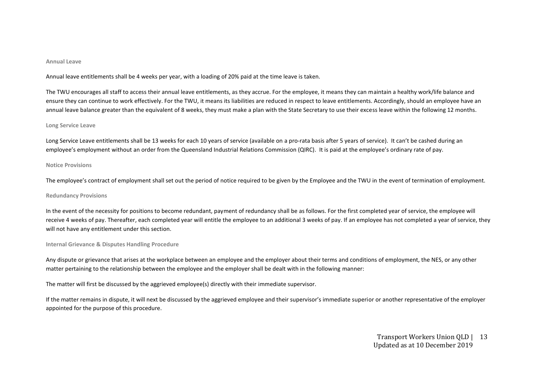#### **Annual Leave**

Annual leave entitlements shall be 4 weeks per year, with a loading of 20% paid at the time leave is taken.

The TWU encourages all staff to access their annual leave entitlements, as they accrue. For the employee, it means they can maintain a healthy work/life balance and ensure they can continue to work effectively. For the TWU, it means its liabilities are reduced in respect to leave entitlements. Accordingly, should an employee have an annual leave balance greater than the equivalent of 8 weeks, they must make a plan with the State Secretary to use their excess leave within the following 12 months.

#### **Long Service Leave**

Long Service Leave entitlements shall be 13 weeks for each 10 years of service (available on a pro-rata basis after 5 years of service). It can't be cashed during an employee's employment without an order from the Queensland Industrial Relations Commission (QIRC). It is paid at the employee's ordinary rate of pay.

#### **Notice Provisions**

The employee's contract of employment shall set out the period of notice required to be given by the Employee and the TWU in the event of termination of employment.

#### **Redundancy Provisions**

In the event of the necessity for positions to become redundant, payment of redundancy shall be as follows. For the first completed year of service, the employee will receive 4 weeks of pay. Thereafter, each completed year will entitle the employee to an additional 3 weeks of pay. If an employee has not completed a year of service, they will not have any entitlement under this section.

#### **Internal Grievance & Disputes Handling Procedure**

Any dispute or grievance that arises at the workplace between an employee and the employer about their terms and conditions of employment, the NES, or any other matter pertaining to the relationship between the employee and the employer shall be dealt with in the following manner:

The matter will first be discussed by the aggrieved employee(s) directly with their immediate supervisor.

If the matter remains in dispute, it will next be discussed by the aggrieved employee and their supervisor's immediate superior or another representative of the employer appointed for the purpose of this procedure.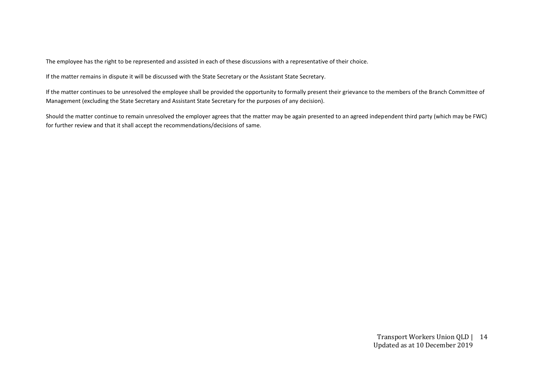The employee has the right to be represented and assisted in each of these discussions with a representative of their choice.

If the matter remains in dispute it will be discussed with the State Secretary or the Assistant State Secretary.

If the matter continues to be unresolved the employee shall be provided the opportunity to formally present their grievance to the members of the Branch Committee of Management (excluding the State Secretary and Assistant State Secretary for the purposes of any decision).

Should the matter continue to remain unresolved the employer agrees that the matter may be again presented to an agreed independent third party (which may be FWC) for further review and that it shall accept the recommendations/decisions of same.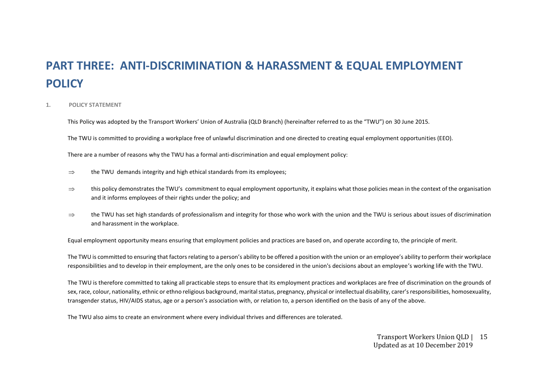# **PART THREE: ANTI-DISCRIMINATION & HARASSMENT & EQUAL EMPLOYMENT POLICY**

#### **1. POLICY STATEMENT**

This Policy was adopted by the Transport Workers' Union of Australia (QLD Branch) (hereinafter referred to as the "TWU") on 30 June 2015.

The TWU is committed to providing a workplace free of unlawful discrimination and one directed to creating equal employment opportunities (EEO).

There are a number of reasons why the TWU has a formal anti-discrimination and equal employment policy:

- $\Rightarrow$  the TWU demands integrity and high ethical standards from its employees;
- $\Rightarrow$  this policy demonstrates the TWU's commitment to equal employment opportunity, it explains what those policies mean in the context of the organisation and it informs employees of their rights under the policy; and
- $\Rightarrow$  the TWU has set high standards of professionalism and integrity for those who work with the union and the TWU is serious about issues of discrimination and harassment in the workplace.

Equal employment opportunity means ensuring that employment policies and practices are based on, and operate according to, the principle of merit.

The TWU is committed to ensuring that factors relating to a person's ability to be offered a position with the union or an employee's ability to perform their workplace responsibilities and to develop in their employment, are the only ones to be considered in the union's decisions about an employee's working life with the TWU.

The TWU is therefore committed to taking all practicable steps to ensure that its employment practices and workplaces are free of discrimination on the grounds of sex, race, colour, nationality, ethnic or ethno religious background, marital status, pregnancy, physical or intellectual disability, carer's responsibilities, homosexuality, transgender status, HIV/AIDS status, age or a person's association with, or relation to, a person identified on the basis of any of the above.

The TWU also aims to create an environment where every individual thrives and differences are tolerated.

Transport Workers Union QLD | 15 Updated as at 10 December 2019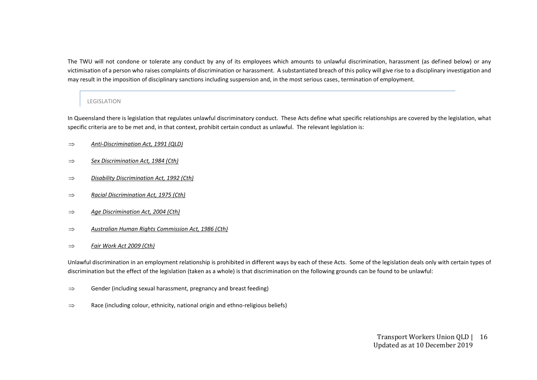The TWU will not condone or tolerate any conduct by any of its employees which amounts to unlawful discrimination, harassment (as defined below) or any victimisation of a person who raises complaints of discrimination or harassment. A substantiated breach of this policy will give rise to a disciplinary investigation and may result in the imposition of disciplinary sanctions including suspension and, in the most serious cases, termination of employment.

#### LEGISLATION

In Queensland there is legislation that regulates unlawful discriminatory conduct. These Acts define what specific relationships are covered by the legislation, what specific criteria are to be met and, in that context, prohibit certain conduct as unlawful. The relevant legislation is:

- *Anti-Discrimination Act, 1991 (QLD)*
- *Sex Discrimination Act, 1984 (Cth)*
- *Disability Discrimination Act, 1992 (Cth)*
- *Racial Discrimination Act, 1975 (Cth)*
- *Age Discrimination Act, 2004 (Cth)*
- *Australian Human Rights Commission Act, 1986 (Cth)*
- *Fair Work Act 2009 (Cth)*

Unlawful discrimination in an employment relationship is prohibited in different ways by each of these Acts. Some of the legislation deals only with certain types of discrimination but the effect of the legislation (taken as a whole) is that discrimination on the following grounds can be found to be unlawful:

- $\Rightarrow$  Gender (including sexual harassment, pregnancy and breast feeding)
- $\Rightarrow$  Race (including colour, ethnicity, national origin and ethno-religious beliefs)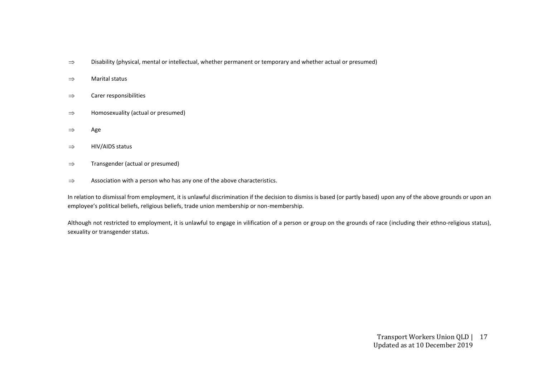- $\Rightarrow$  Disability (physical, mental or intellectual, whether permanent or temporary and whether actual or presumed)
- $\Rightarrow$  Marital status
- $\Rightarrow$  Carer responsibilities
- $\Rightarrow$  Homosexuality (actual or presumed)
- $\Rightarrow$  Age
- $\Rightarrow$  HIV/AIDS status
- $\Rightarrow$  Transgender (actual or presumed)
- $\Rightarrow$  Association with a person who has any one of the above characteristics.

In relation to dismissal from employment, it is unlawful discrimination if the decision to dismiss is based (or partly based) upon any of the above grounds or upon an employee's political beliefs, religious beliefs, trade union membership or non-membership.

Although not restricted to employment, it is unlawful to engage in vilification of a person or group on the grounds of race (including their ethno-religious status), sexuality or transgender status.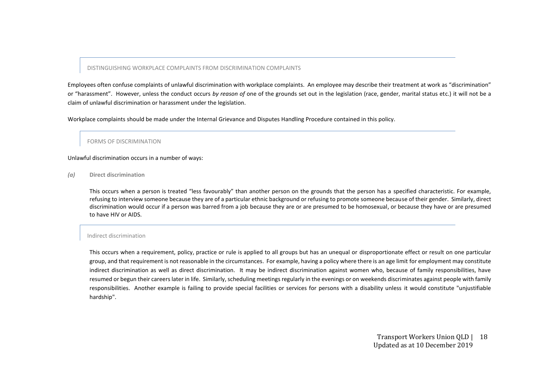#### DISTINGUISHING WORKPLACE COMPLAINTS FROM DISCRIMINATION COMPLAINTS

Employees often confuse complaints of unlawful discrimination with workplace complaints. An employee may describe their treatment at work as "discrimination" or "harassment". However, unless the conduct occurs *by reason of* one of the grounds set out in the legislation (race, gender, marital status etc.) it will not be a claim of unlawful discrimination or harassment under the legislation.

Workplace complaints should be made under the Internal Grievance and Disputes Handling Procedure contained in this policy.

#### FORMS OF DISCRIMINATION

#### Unlawful discrimination occurs in a number of ways:

*(a)* **Direct discrimination**

This occurs when a person is treated "less favourably" than another person on the grounds that the person has a specified characteristic. For example, refusing to interview someone because they are of a particular ethnic background or refusing to promote someone because of their gender. Similarly, direct discrimination would occur if a person was barred from a job because they are or are presumed to be homosexual, or because they have or are presumed to have HIV or AIDS.

#### Indirect discrimination

This occurs when a requirement, policy, practice or rule is applied to all groups but has an unequal or disproportionate effect or result on one particular group, and that requirement is not reasonable in the circumstances. For example, having a policy where there is an age limit for employment may constitute indirect discrimination as well as direct discrimination. It may be indirect discrimination against women who, because of family responsibilities, have resumed or begun their careers later in life. Similarly, scheduling meetings regularly in the evenings or on weekends discriminates against people with family responsibilities. Another example is failing to provide special facilities or services for persons with a disability unless it would constitute "unjustifiable hardship".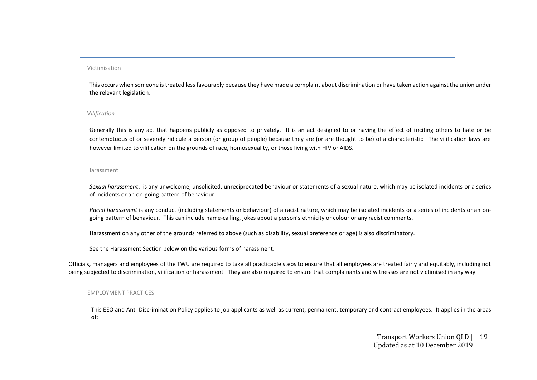#### Victimisation

This occurs when someone is treated less favourably because they have made a complaint about discrimination or have taken action against the union under the relevant legislation.

#### V*ilification*

Generally this is any act that happens publicly as opposed to privately. It is an act designed to or having the effect of inciting others to hate or be contemptuous of or severely ridicule a person (or group of people) because they are (or are thought to be) of a characteristic. The vilification laws are however limited to vilification on the grounds of race, homosexuality, or those living with HIV or AIDS.

#### Harassment

*Sexual harassment*: is any unwelcome, unsolicited, unreciprocated behaviour or statements of a sexual nature, which may be isolated incidents or a series of incidents or an on-going pattern of behaviour.

*Racial harassment* is any conduct (including statements or behaviour) of a racist nature, which may be isolated incidents or a series of incidents or an ongoing pattern of behaviour. This can include name-calling, jokes about a person's ethnicity or colour or any racist comments.

Harassment on any other of the grounds referred to above (such as disability, sexual preference or age) is also discriminatory.

See the Harassment Section below on the various forms of harassment.

Officials, managers and employees of the TWU are required to take all practicable steps to ensure that all employees are treated fairly and equitably, including not being subjected to discrimination, vilification or harassment. They are also required to ensure that complainants and witnesses are not victimised in any way.

#### EMPLOYMENT PRACTICES

This EEO and Anti-Discrimination Policy applies to job applicants as well as current, permanent, temporary and contract employees. It applies in the areas of:

> Transport Workers Union QLD | 19 Updated as at 10 December 2019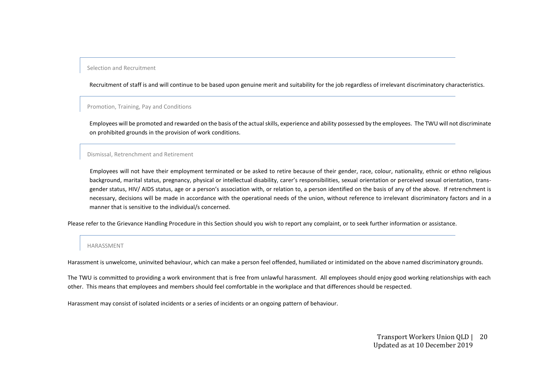#### Selection and Recruitment

Recruitment of staff is and will continue to be based upon genuine merit and suitability for the job regardless of irrelevant discriminatory characteristics.

#### Promotion, Training, Pay and Conditions

Employees will be promoted and rewarded on the basis of the actual skills, experience and ability possessed by the employees. The TWU will not discriminate on prohibited grounds in the provision of work conditions.

#### Dismissal, Retrenchment and Retirement

Employees will not have their employment terminated or be asked to retire because of their gender, race, colour, nationality, ethnic or ethno religious background, marital status, pregnancy, physical or intellectual disability, carer's responsibilities, sexual orientation or perceived sexual orientation, transgender status, HIV/ AIDS status, age or a person's association with, or relation to, a person identified on the basis of any of the above. If retrenchment is necessary, decisions will be made in accordance with the operational needs of the union, without reference to irrelevant discriminatory factors and in a manner that is sensitive to the individual/s concerned.

Please refer to the Grievance Handling Procedure in this Section should you wish to report any complaint, or to seek further information or assistance.

#### HARASSMENT

Harassment is unwelcome, uninvited behaviour, which can make a person feel offended, humiliated or intimidated on the above named discriminatory grounds.

The TWU is committed to providing a work environment that is free from unlawful harassment. All employees should enjoy good working relationships with each other. This means that employees and members should feel comfortable in the workplace and that differences should be respected.

Harassment may consist of isolated incidents or a series of incidents or an ongoing pattern of behaviour.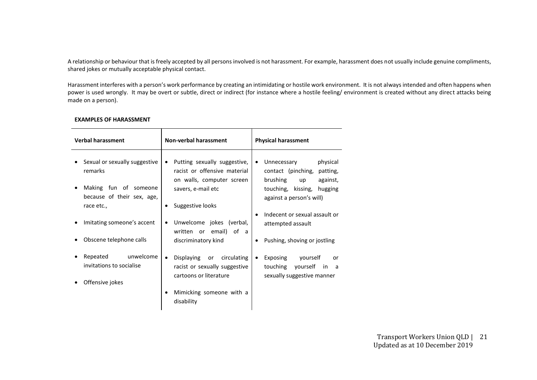A relationship or behaviour that is freely accepted by all persons involved is not harassment. For example, harassment does not usually include genuine compliments, shared jokes or mutually acceptable physical contact.

Harassment interferes with a person's work performance by creating an intimidating or hostile work environment. It is not always intended and often happens when power is used wrongly. It may be overt or subtle, direct or indirect (for instance where a hostile feeling/ environment is created without any direct attacks being made on a person).

| <b>Verbal harassment</b>                                          | <b>Non-verbal harassment</b>                                                                            | <b>Physical harassment</b>                                                                         |  |  |
|-------------------------------------------------------------------|---------------------------------------------------------------------------------------------------------|----------------------------------------------------------------------------------------------------|--|--|
| Sexual or sexually suggestive<br>remarks<br>Making fun of someone | Putting sexually suggestive,<br>٠<br>racist or offensive material<br>on walls, computer screen          | physical<br>Unnecessary<br>$\bullet$<br>contact (pinching, patting,<br>brushing<br>against,<br>up  |  |  |
| because of their sex, age,<br>race etc.,                          | savers, e-mail etc<br>Suggestive looks                                                                  | touching, kissing, hugging<br>against a person's will)                                             |  |  |
| Imitating someone's accent                                        | Unwelcome jokes (verbal,<br>٠<br>written or email) of a                                                 | Indecent or sexual assault or<br>$\bullet$<br>attempted assault                                    |  |  |
| Obscene telephone calls                                           | discriminatory kind                                                                                     | Pushing, shoving or jostling                                                                       |  |  |
| Repeated unwelcome<br>invitations to socialise                    | Displaying<br>circulating<br>or<br>$\bullet$<br>racist or sexually suggestive<br>cartoons or literature | Exposing<br>yourself<br>or<br>$\bullet$<br>touching<br>yourself in a<br>sexually suggestive manner |  |  |
| Offensive jokes                                                   | Mimicking someone with a<br>disability                                                                  |                                                                                                    |  |  |

#### **EXAMPLES OF HARASSMENT**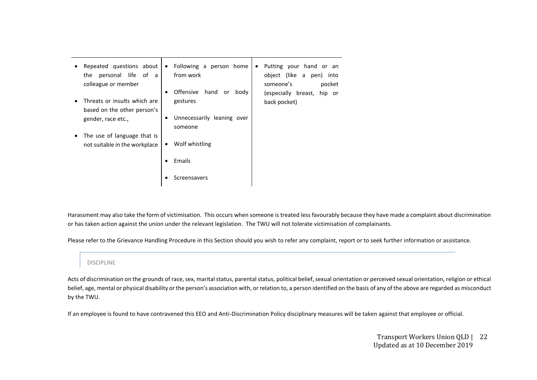| Repeated questions about<br>$\bullet$<br>personal life of<br>the<br>a -<br>colleague or member<br>Threats or insults which are | Following a person home<br>Putting your hand or an<br>$\bullet$<br>$\bullet$<br>from work<br>object (like a pen)<br>into<br>someone's<br>pocket<br>Offensive<br>hand<br>body<br>or<br>٠<br>(especially breast,<br>hip or |
|--------------------------------------------------------------------------------------------------------------------------------|--------------------------------------------------------------------------------------------------------------------------------------------------------------------------------------------------------------------------|
| based on the other person's<br>gender, race etc.,                                                                              | gestures<br>back pocket)<br>Unnecessarily leaning over<br>٠<br>someone                                                                                                                                                   |
| The use of language that is<br>$\bullet$<br>not suitable in the workplace                                                      | Wolf whistling<br>٠                                                                                                                                                                                                      |
|                                                                                                                                | Emails<br>Screensavers<br>٠                                                                                                                                                                                              |

Harassment may also take the form of victimisation. This occurs when someone is treated less favourably because they have made a complaint about discrimination or has taken action against the union under the relevant legislation. The TWU will not tolerate victimisation of complainants.

Please refer to the Grievance Handling Procedure in this Section should you wish to refer any complaint, report or to seek further information or assistance.

#### DISCIPLINE

Acts of discrimination on the grounds of race, sex, marital status, parental status, political belief, sexual orientation or perceived sexual orientation, religion or ethical belief, age, mental or physical disability or the person's association with, or relation to, a person identified on the basis of any of the above are regarded as misconduct by the TWU.

If an employee is found to have contravened this EEO and Anti-Discrimination Policy disciplinary measures will be taken against that employee or official.

Transport Workers Union QLD | Updated as at 10 December 2019 22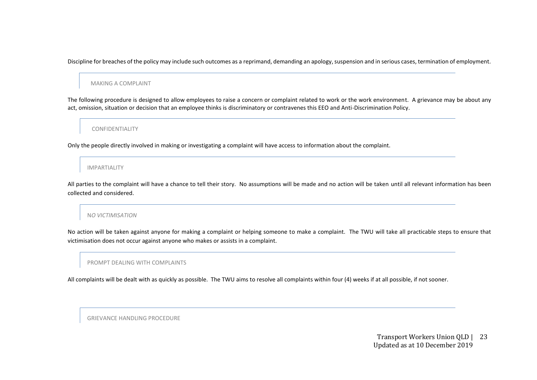Discipline for breaches of the policy may include such outcomes as a reprimand, demanding an apology, suspension and in serious cases, termination of employment.

MAKING A COMPLAINT

The following procedure is designed to allow employees to raise a concern or complaint related to work or the work environment. A grievance may be about any act, omission, situation or decision that an employee thinks is discriminatory or contravenes this EEO and Anti-Discrimination Policy.

CONFIDENTIALITY

Only the people directly involved in making or investigating a complaint will have access to information about the complaint.

IMPARTIALITY

All parties to the complaint will have a chance to tell their story. No assumptions will be made and no action will be taken until all relevant information has been collected and considered.

#### N*O VICTIMISATION*

No action will be taken against anyone for making a complaint or helping someone to make a complaint. The TWU will take all practicable steps to ensure that victimisation does not occur against anyone who makes or assists in a complaint.

#### PROMPT DEALING WITH COMPLAINTS

All complaints will be dealt with as quickly as possible. The TWU aims to resolve all complaints within four (4) weeks if at all possible, if not sooner.

GRIEVANCE HANDLING PROCEDURE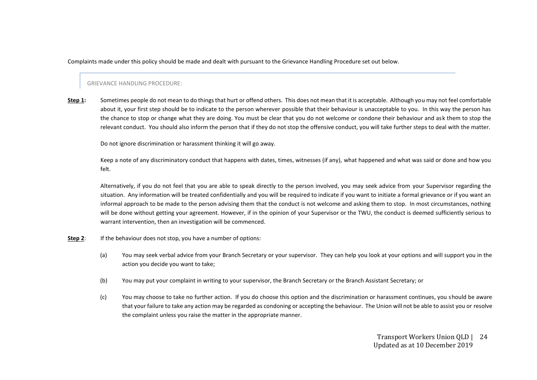Complaints made under this policy should be made and dealt with pursuant to the Grievance Handling Procedure set out below.

#### GRIEVANCE HANDLING PROCEDURE:

**Step 1:** Sometimes people do not mean to do things that hurt or offend others. This does not mean that it is acceptable. Although you may not feel comfortable about it, your first step should be to indicate to the person wherever possible that their behaviour is unacceptable to you. In this way the person has the chance to stop or change what they are doing. You must be clear that you do not welcome or condone their behaviour and ask them to stop the relevant conduct. You should also inform the person that if they do not stop the offensive conduct, you will take further steps to deal with the matter.

Do not ignore discrimination or harassment thinking it will go away.

Keep a note of any discriminatory conduct that happens with dates, times, witnesses (if any), what happened and what was said or done and how you felt.

Alternatively, if you do not feel that you are able to speak directly to the person involved, you may seek advice from your Supervisor regarding the situation. Any information will be treated confidentially and you will be required to indicate if you want to initiate a formal grievance or if you want an informal approach to be made to the person advising them that the conduct is not welcome and asking them to stop. In most circumstances, nothing will be done without getting your agreement. However, if in the opinion of your Supervisor or the TWU, the conduct is deemed sufficiently serious to warrant intervention, then an investigation will be commenced.

- **Step 2:** If the behaviour does not stop, you have a number of options:
	- (a) You may seek verbal advice from your Branch Secretary or your supervisor. They can help you look at your options and will support you in the action you decide you want to take;
	- (b) You may put your complaint in writing to your supervisor, the Branch Secretary or the Branch Assistant Secretary; or
	- (c) You may choose to take no further action. If you do choose this option and the discrimination or harassment continues, you should be aware that your failure to take any action may be regarded as condoning or accepting the behaviour. The Union will not be able to assist you or resolve the complaint unless you raise the matter in the appropriate manner.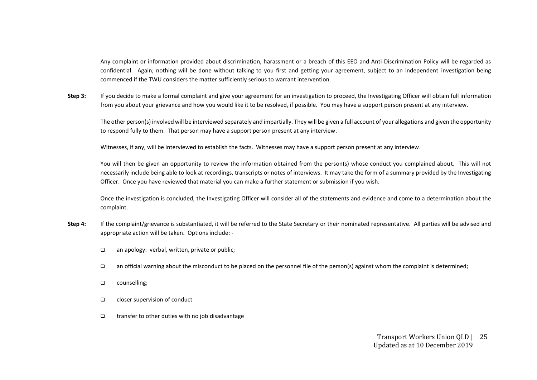Any complaint or information provided about discrimination, harassment or a breach of this EEO and Anti-Discrimination Policy will be regarded as confidential. Again, nothing will be done without talking to you first and getting your agreement, subject to an independent investigation being commenced if the TWU considers the matter sufficiently serious to warrant intervention.

Step 3: If you decide to make a formal complaint and give your agreement for an investigation to proceed, the Investigating Officer will obtain full information from you about your grievance and how you would like it to be resolved, if possible. You may have a support person present at any interview.

The other person(s) involved will be interviewed separately and impartially. They will be given a full account of your allegations and given the opportunity to respond fully to them. That person may have a support person present at any interview.

Witnesses, if any, will be interviewed to establish the facts. Witnesses may have a support person present at any interview.

You will then be given an opportunity to review the information obtained from the person(s) whose conduct you complained about. This will not necessarily include being able to look at recordings, transcripts or notes of interviews. It may take the form of a summary provided by the Investigating Officer. Once you have reviewed that material you can make a further statement or submission if you wish.

Once the investigation is concluded, the Investigating Officer will consider all of the statements and evidence and come to a determination about the complaint.

- **Step 4:** If the complaint/grievance is substantiated, it will be referred to the State Secretary or their nominated representative. All parties will be advised and appropriate action will be taken. Options include: -
	- ❑ an apology: verbal, written, private or public;
	- ❑ an official warning about the misconduct to be placed on the personnel file of the person(s) against whom the complaint is determined;
	- ❑ counselling;
	- ❑ closer supervision of conduct
	- ❑ transfer to other duties with no job disadvantage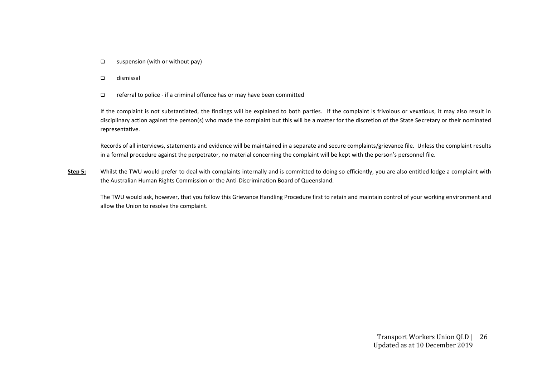- ❑ suspension (with or without pay)
- ❑ dismissal
- ❑ referral to police if a criminal offence has or may have been committed

If the complaint is not substantiated, the findings will be explained to both parties. If the complaint is frivolous or vexatious, it may also result in disciplinary action against the person(s) who made the complaint but this will be a matter for the discretion of the State Secretary or their nominated representative.

Records of all interviews, statements and evidence will be maintained in a separate and secure complaints/grievance file. Unless the complaint results in a formal procedure against the perpetrator, no material concerning the complaint will be kept with the person's personnel file.

Step 5: Whilst the TWU would prefer to deal with complaints internally and is committed to doing so efficiently, you are also entitled lodge a complaint with the Australian Human Rights Commission or the Anti-Discrimination Board of Queensland.

The TWU would ask, however, that you follow this Grievance Handling Procedure first to retain and maintain control of your working environment and allow the Union to resolve the complaint.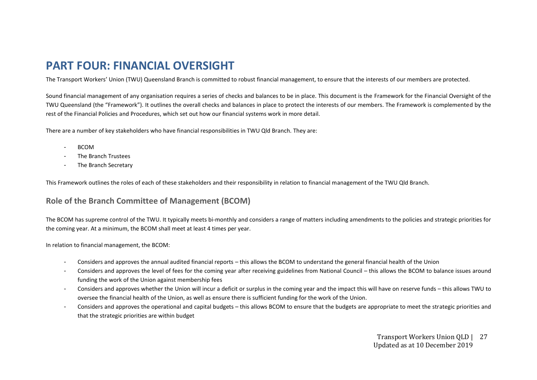# **PART FOUR: FINANCIAL OVERSIGHT**

The Transport Workers' Union (TWU) Queensland Branch is committed to robust financial management, to ensure that the interests of our members are protected.

Sound financial management of any organisation requires a series of checks and balances to be in place. This document is the Framework for the Financial Oversight of the TWU Queensland (the "Framework"). It outlines the overall checks and balances in place to protect the interests of our members. The Framework is complemented by the rest of the Financial Policies and Procedures, which set out how our financial systems work in more detail.

There are a number of key stakeholders who have financial responsibilities in TWU Qld Branch. They are:

- BCOM
- The Branch Trustees
- The Branch Secretary

This Framework outlines the roles of each of these stakeholders and their responsibility in relation to financial management of the TWU Qld Branch.

# **Role of the Branch Committee of Management (BCOM)**

The BCOM has supreme control of the TWU. It typically meets bi-monthly and considers a range of matters including amendments to the policies and strategic priorities for the coming year. At a minimum, the BCOM shall meet at least 4 times per year.

In relation to financial management, the BCOM:

- Considers and approves the annual audited financial reports this allows the BCOM to understand the general financial health of the Union
- Considers and approves the level of fees for the coming year after receiving guidelines from National Council this allows the BCOM to balance issues around funding the work of the Union against membership fees
- Considers and approves whether the Union will incur a deficit or surplus in the coming year and the impact this will have on reserve funds this allows TWU to oversee the financial health of the Union, as well as ensure there is sufficient funding for the work of the Union.
- Considers and approves the operational and capital budgets this allows BCOM to ensure that the budgets are appropriate to meet the strategic priorities and that the strategic priorities are within budget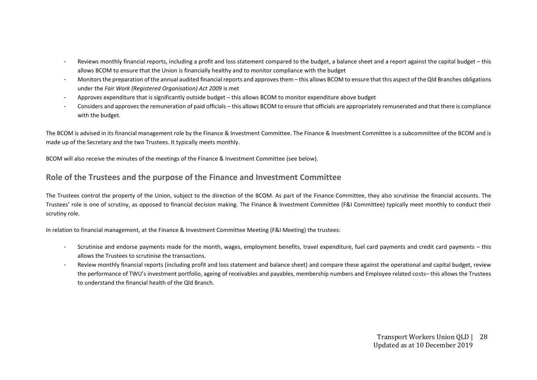- Reviews monthly financial reports, including a profit and loss statement compared to the budget, a balance sheet and a report against the capital budget this allows BCOM to ensure that the Union is financially healthy and to monitor compliance with the budget
- Monitors the preparation of the annual audited financial reports and approves them this allows BCOM to ensure that this aspect of the Qld Branches obligations under the *Fair Work (Registered Organisation) Act 2009* is met
- Approves expenditure that is significantly outside budget this allows BCOM to monitor expenditure above budget
- Considers and approves the remuneration of paid officials this allows BCOM to ensure that officials are appropriately remunerated and that there is compliance with the budget.

The BCOM is advised in its financial management role by the Finance & Investment Committee. The Finance & Investment Committee is a subcommittee of the BCOM and is made up of the Secretary and the two Trustees. It typically meets monthly.

BCOM will also receive the minutes of the meetings of the Finance & Investment Committee (see below).

# **Role of the Trustees and the purpose of the Finance and Investment Committee**

The Trustees control the property of the Union, subject to the direction of the BCOM. As part of the Finance Committee, they also scrutinise the financial accounts. The Trustees' role is one of scrutiny, as opposed to financial decision making. The Finance & Investment Committee (F&I Committee) typically meet monthly to conduct their scrutiny role.

In relation to financial management, at the Finance & Investment Committee Meeting (F&I Meeting) the trustees:

- Scrutinise and endorse payments made for the month, wages, employment benefits, travel expenditure, fuel card payments and credit card payments this allows the Trustees to scrutinise the transactions.
- Review monthly financial reports (including profit and loss statement and balance sheet) and compare these against the operational and capital budget, review the performance of TWU's investment portfolio, ageing of receivables and payables, membership numbers and Employee related costs– this allows the Trustees to understand the financial health of the Qld Branch.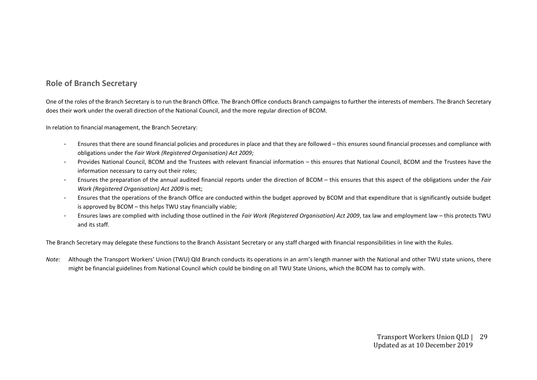# **Role of Branch Secretary**

One of the roles of the Branch Secretary is to run the Branch Office. The Branch Office conducts Branch campaigns to further the interests of members. The Branch Secretary does their work under the overall direction of the National Council, and the more regular direction of BCOM.

In relation to financial management, the Branch Secretary:

- Ensures that there are sound financial policies and procedures in place and that they are followed this ensures sound financial processes and compliance with obligations under the *Fair Work (Registered Organisation) Act 2009;*
- Provides National Council, BCOM and the Trustees with relevant financial information this ensures that National Council, BCOM and the Trustees have the information necessary to carry out their roles;
- Ensures the preparation of the annual audited financial reports under the direction of BCOM this ensures that this aspect of the obligations under the *Fair Work (Registered Organisation) Act 2009* is met;
- Ensures that the operations of the Branch Office are conducted within the budget approved by BCOM and that expenditure that is significantly outside budget is approved by BCOM – this helps TWU stay financially viable;
- Ensures laws are complied with including those outlined in the *Fair Work (Registered Organisation) Act 2009*, tax law and employment law this protects TWU and its staff.

The Branch Secretary may delegate these functions to the Branch Assistant Secretary or any staff charged with financial responsibilities in line with the Rules.

*Note:* Although the Transport Workers' Union (TWU) Qld Branch conducts its operations in an arm's length manner with the National and other TWU state unions, there might be financial guidelines from National Council which could be binding on all TWU State Unions, which the BCOM has to comply with.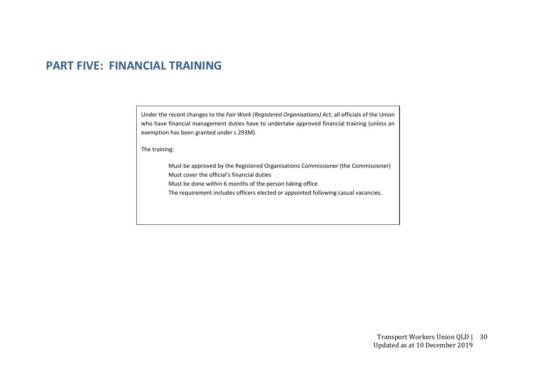# **PART FIVE: FINANCIAL TRAINING**

Under the recent changes to the *Fair Work (Registered Organisations) Act*, all officials of the Union who have financial management duties have to undertake approved financial training (unless an exemption has been granted under s 293M).

The training:

Must be approved by the Registered Organisations Commissioner (the Commissioner) Must cover the official's financial duties

Must be done within 6 months of the person taking office

The requirement includes officers elected or appointed following casual vacancies.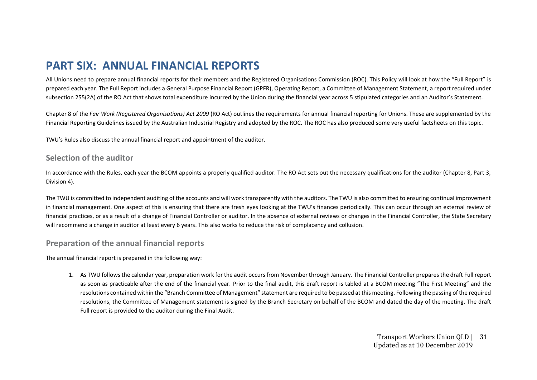# **PART SIX: ANNUAL FINANCIAL REPORTS**

All Unions need to prepare annual financial reports for their members and the Registered Organisations Commission (ROC). This Policy will look at how the "Full Report" is prepared each year. The Full Report includes a General Purpose Financial Report (GPFR), Operating Report, a Committee of Management Statement, a report required under subsection 255(2A) of the RO Act that shows total expenditure incurred by the Union during the financial year across 5 stipulated categories and an Auditor's Statement.

Chapter 8 of the *Fair Work (Registered Organisations) Act 2009* (RO Act) outlines the requirements for annual financial reporting for Unions. These are supplemented by the Financial Reporting Guidelines issued by the Australian Industrial Registry and adopted by the ROC. The ROC has also produced some very useful factsheets on this topic.

TWU's Rules also discuss the annual financial report and appointment of the auditor.

#### **Selection of the auditor**

In accordance with the Rules, each year the BCOM appoints a properly qualified auditor. The RO Act sets out the necessary qualifications for the auditor (Chapter 8, Part 3, Division 4).

The TWU is committed to independent auditing of the accounts and will work transparently with the auditors. The TWU is also committed to ensuring continual improvement in financial management. One aspect of this is ensuring that there are fresh eyes looking at the TWU's finances periodically. This can occur through an external review of financial practices, or as a result of a change of Financial Controller or auditor. In the absence of external reviews or changes in the Financial Controller, the State Secretary will recommend a change in auditor at least every 6 years. This also works to reduce the risk of complacency and collusion.

### **Preparation of the annual financial reports**

The annual financial report is prepared in the following way:

1. As TWU follows the calendar year, preparation work for the audit occurs from November through January. The Financial Controller prepares the draft Full report as soon as practicable after the end of the financial year. Prior to the final audit, this draft report is tabled at a BCOM meeting "The First Meeting" and the resolutions contained within the "Branch Committee of Management" statement are required to be passed at this meeting. Following the passing of the required resolutions, the Committee of Management statement is signed by the Branch Secretary on behalf of the BCOM and dated the day of the meeting. The draft Full report is provided to the auditor during the Final Audit.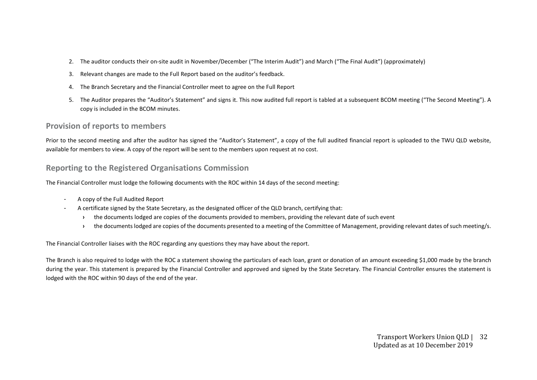- 2. The auditor conducts their on-site audit in November/December ("The Interim Audit") and March ("The Final Audit") (approximately)
- 3. Relevant changes are made to the Full Report based on the auditor's feedback.
- 4. The Branch Secretary and the Financial Controller meet to agree on the Full Report
- 5. The Auditor prepares the "Auditor's Statement" and signs it. This now audited full report is tabled at a subsequent BCOM meeting ("The Second Meeting"). A copy is included in the BCOM minutes.

### **Provision of reports to members**

Prior to the second meeting and after the auditor has signed the "Auditor's Statement", a copy of the full audited financial report is uploaded to the TWU QLD website, available for members to view. A copy of the report will be sent to the members upon request at no cost.

# **Reporting to the Registered Organisations Commission**

The Financial Controller must lodge the following documents with the ROC within 14 days of the second meeting:

- A copy of the Full Audited Report
- A certificate signed by the State Secretary, as the designated officer of the QLD branch, certifying that:
	- **›** the documents lodged are copies of the documents provided to members, providing the relevant date of such event
	- <sup>></sup> the documents lodged are copies of the documents presented to a meeting of the Committee of Management, providing relevant dates of such meeting/s.

The Financial Controller liaises with the ROC regarding any questions they may have about the report.

The Branch is also required to lodge with the ROC a statement showing the particulars of each loan, grant or donation of an amount exceeding \$1,000 made by the branch during the year. This statement is prepared by the Financial Controller and approved and signed by the State Secretary. The Financial Controller ensures the statement is lodged with the ROC within 90 days of the end of the year.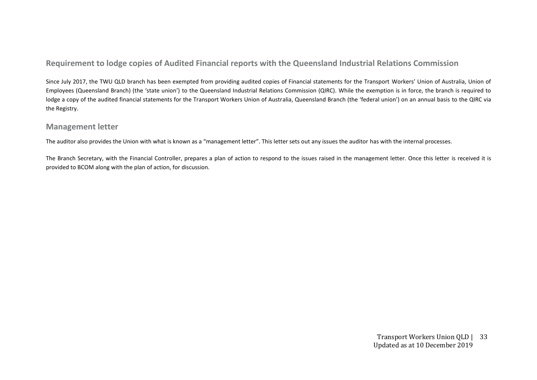# **Requirement to lodge copies of Audited Financial reports with the Queensland Industrial Relations Commission**

Since July 2017, the TWU QLD branch has been exempted from providing audited copies of Financial statements for the Transport Workers' Union of Australia, Union of Employees (Queensland Branch) (the 'state union') to the Queensland Industrial Relations Commission (QIRC). While the exemption is in force, the branch is required to lodge a copy of the audited financial statements for the Transport Workers Union of Australia, Queensland Branch (the 'federal union') on an annual basis to the QIRC via the Registry.

### **Management letter**

The auditor also provides the Union with what is known as a "management letter". This letter sets out any issues the auditor has with the internal processes.

The Branch Secretary, with the Financial Controller, prepares a plan of action to respond to the issues raised in the management letter. Once this letter is received it is provided to BCOM along with the plan of action, for discussion.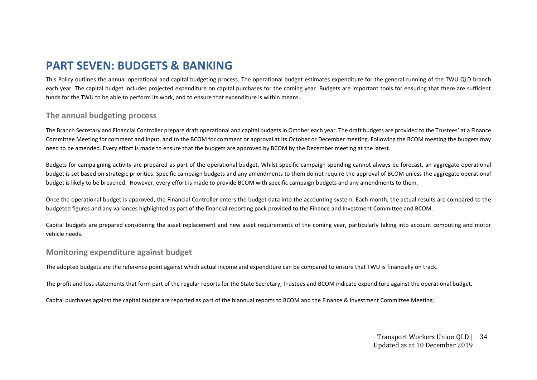# **PART SEVEN: BUDGETS & BANKING**

This Policy outlines the annual operational and capital budgeting process. The operational budget estimates expenditure for the general running of the TWU QLD branch each year. The capital budget includes projected expenditure on capital purchases for the coming year. Budgets are important tools for ensuring that there are sufficient funds for the TWU to be able to perform its work, and to ensure that expenditure is within means.

# **The annual budgeting process**

The Branch Secretary and Financial Controller prepare draft operational and capital budgets in October each year. The draft budgets are provided to the Trustees' at a Finance Committee Meeting for comment and input, and to the BCOM for comment or approval at its October or December meeting. Following the BCOM meeting the budgets may need to be amended. Every effort is made to ensure that the budgets are approved by BCOM by the December meeting at the latest.

Budgets for campaigning activity are prepared as part of the operational budget. Whilst specific campaign spending cannot always be forecast, an aggregate operational budget is set based on strategic priorities. Specific campaign budgets and any amendments to them do not require the approval of BCOM unless the aggregate operational budget is likely to be breached. However, every effort is made to provide BCOM with specific campaign budgets and any amendments to them.

Once the operational budget is approved, the Financial Controller enters the budget data into the accounting system. Each month, the actual results are compared to the budgeted figures and any variances highlighted as part of the financial reporting pack provided to the Finance and Investment Committee and BCOM.

Capital budgets are prepared considering the asset replacement and new asset requirements of the coming year, particularly taking into account computing and motor vehicle needs.

### **Monitoring expenditure against budget**

The adopted budgets are the reference point against which actual income and expenditure can be compared to ensure that TWU is financially on track.

The profit and loss statements that form part of the regular reports for the State Secretary, Trustees and BCOM indicate expenditure against the operational budget.

Capital purchases against the capital budget are reported as part of the biannual reports to BCOM and the Finance & Investment Committee Meeting.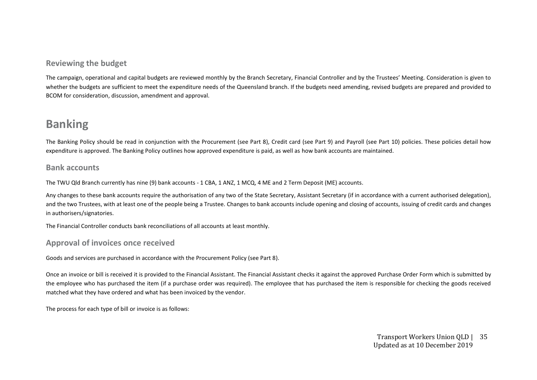# **Reviewing the budget**

The campaign, operational and capital budgets are reviewed monthly by the Branch Secretary, Financial Controller and by the Trustees' Meeting. Consideration is given to whether the budgets are sufficient to meet the expenditure needs of the Queensland branch. If the budgets need amending, revised budgets are prepared and provided to BCOM for consideration, discussion, amendment and approval.

# **Banking**

The Banking Policy should be read in conjunction with the Procurement (see Part 8), Credit card (see Part 9) and Payroll (see Part 10) policies. These policies detail how expenditure is approved. The Banking Policy outlines how approved expenditure is paid, as well as how bank accounts are maintained.

### **Bank accounts**

The TWU Qld Branch currently has nine (9) bank accounts - 1 CBA, 1 ANZ, 1 MCQ, 4 ME and 2 Term Deposit (ME) accounts.

Any changes to these bank accounts require the authorisation of any two of the State Secretary, Assistant Secretary (if in accordance with a current authorised delegation), and the two Trustees, with at least one of the people being a Trustee. Changes to bank accounts include opening and closing of accounts, issuing of credit cards and changes in authorisers/signatories.

The Financial Controller conducts bank reconciliations of all accounts at least monthly.

### **Approval of invoices once received**

Goods and services are purchased in accordance with the Procurement Policy (see Part 8).

Once an invoice or bill is received it is provided to the Financial Assistant. The Financial Assistant checks it against the approved Purchase Order Form which is submitted by the employee who has purchased the item (if a purchase order was required). The employee that has purchased the item is responsible for checking the goods received matched what they have ordered and what has been invoiced by the vendor.

The process for each type of bill or invoice is as follows: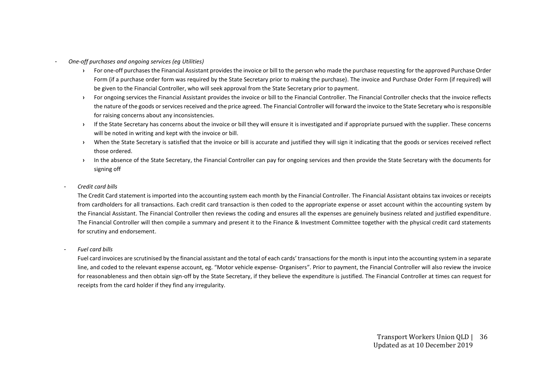- *One-off purchases and ongoing services (eg Utilities)* 
	- **›** For one-off purchases the Financial Assistant provides the invoice or bill to the person who made the purchase requesting for the approved Purchase Order Form (if a purchase order form was required by the State Secretary prior to making the purchase). The invoice and Purchase Order Form (if required) will be given to the Financial Controller, who will seek approval from the State Secretary prior to payment.
	- **›** For ongoing services the Financial Assistant provides the invoice or bill to the Financial Controller. The Financial Controller checks that the invoice reflects the nature of the goods or services received and the price agreed. The Financial Controller will forward the invoice to the State Secretary who is responsible for raising concerns about any inconsistencies.
	- **›** If the State Secretary has concerns about the invoice or bill they will ensure it is investigated and if appropriate pursued with the supplier. These concerns will be noted in writing and kept with the invoice or bill.
	- **›** When the State Secretary is satisfied that the invoice or bill is accurate and justified they will sign it indicating that the goods or services received reflect those ordered.
	- **In the absence of the State Secretary, the Financial Controller can pay for ongoing services and then provide the State Secretary with the documents for** signing off
	- *Credit card bills*

The Credit Card statement is imported into the accounting system each month by the Financial Controller. The Financial Assistant obtains tax invoices or receipts from cardholders for all transactions. Each credit card transaction is then coded to the appropriate expense or asset account within the accounting system by the Financial Assistant. The Financial Controller then reviews the coding and ensures all the expenses are genuinely business related and justified expenditure. The Financial Controller will then compile a summary and present it to the Finance & Investment Committee together with the physical credit card statements for scrutiny and endorsement.

- *Fuel card bills*

Fuel card invoices are scrutinised by the financial assistant and the total of each cards' transactions for the month is input into the accounting system in a separate line, and coded to the relevant expense account, eg. "Motor vehicle expense- Organisers". Prior to payment, the Financial Controller will also review the invoice for reasonableness and then obtain sign-off by the State Secretary, if they believe the expenditure is justified. The Financial Controller at times can request for receipts from the card holder if they find any irregularity.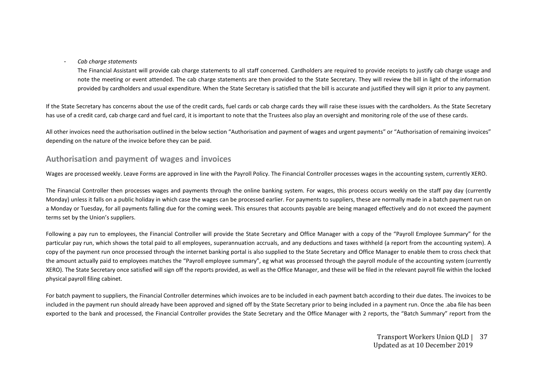- *Cab charge statements* 

The Financial Assistant will provide cab charge statements to all staff concerned. Cardholders are required to provide receipts to justify cab charge usage and note the meeting or event attended. The cab charge statements are then provided to the State Secretary. They will review the bill in light of the information provided by cardholders and usual expenditure. When the State Secretary is satisfied that the bill is accurate and justified they will sign it prior to any payment.

If the State Secretary has concerns about the use of the credit cards, fuel cards or cab charge cards they will raise these issues with the cardholders. As the State Secretary has use of a credit card, cab charge card and fuel card, it is important to note that the Trustees also play an oversight and monitoring role of the use of these cards.

All other invoices need the authorisation outlined in the below section "Authorisation and payment of wages and urgent payments" or "Authorisation of remaining invoices" depending on the nature of the invoice before they can be paid.

## **Authorisation and payment of wages and invoices**

Wages are processed weekly. Leave Forms are approved in line with the Payroll Policy. The Financial Controller processes wages in the accounting system, currently XERO.

The Financial Controller then processes wages and payments through the online banking system. For wages, this process occurs weekly on the staff pay day (currently Monday) unless it falls on a public holiday in which case the wages can be processed earlier. For payments to suppliers, these are normally made in a batch payment run on a Monday or Tuesday, for all payments falling due for the coming week. This ensures that accounts payable are being managed effectively and do not exceed the payment terms set by the Union's suppliers.

Following a pay run to employees, the Financial Controller will provide the State Secretary and Office Manager with a copy of the "Payroll Employee Summary" for the particular pay run, which shows the total paid to all employees, superannuation accruals, and any deductions and taxes withheld (a report from the accounting system). A copy of the payment run once processed through the internet banking portal is also supplied to the State Secretary and Office Manager to enable them to cross check that the amount actually paid to employees matches the "Payroll employee summary", eg what was processed through the payroll module of the accounting system (currently XERO). The State Secretary once satisfied will sign off the reports provided, as well as the Office Manager, and these will be filed in the relevant payroll file within the locked physical payroll filing cabinet.

For batch payment to suppliers, the Financial Controller determines which invoices are to be included in each payment batch according to their due dates. The invoices to be included in the payment run should already have been approved and signed off by the State Secretary prior to being included in a payment run. Once the .aba file has been exported to the bank and processed, the Financial Controller provides the State Secretary and the Office Manager with 2 reports, the "Batch Summary" report from the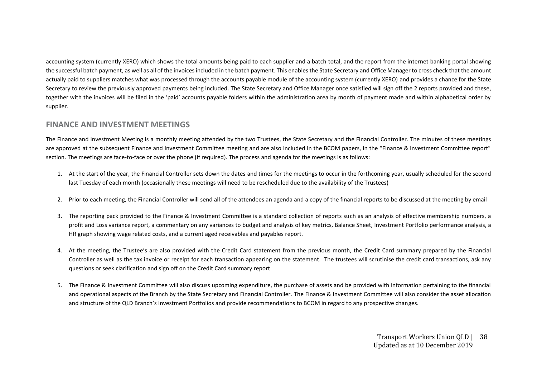accounting system (currently XERO) which shows the total amounts being paid to each supplier and a batch total, and the report from the internet banking portal showing the successful batch payment, as well as all of the invoices included in the batch payment. This enables the State Secretary and Office Manager to cross check that the amount actually paid to suppliers matches what was processed through the accounts payable module of the accounting system (currently XERO) and provides a chance for the State Secretary to review the previously approved payments being included. The State Secretary and Office Manager once satisfied will sign off the 2 reports provided and these, together with the invoices will be filed in the 'paid' accounts payable folders within the administration area by month of payment made and within alphabetical order by supplier.

# **FINANCE AND INVESTMENT MEETINGS**

The Finance and Investment Meeting is a monthly meeting attended by the two Trustees, the State Secretary and the Financial Controller. The minutes of these meetings are approved at the subsequent Finance and Investment Committee meeting and are also included in the BCOM papers, in the "Finance & Investment Committee report" section. The meetings are face-to-face or over the phone (if required). The process and agenda for the meetings is as follows:

- 1. At the start of the year, the Financial Controller sets down the dates and times for the meetings to occur in the forthcoming year, usually scheduled for the second last Tuesday of each month (occasionally these meetings will need to be rescheduled due to the availability of the Trustees)
- 2. Prior to each meeting, the Financial Controller will send all of the attendees an agenda and a copy of the financial reports to be discussed at the meeting by email
- 3. The reporting pack provided to the Finance & Investment Committee is a standard collection of reports such as an analysis of effective membership numbers, a profit and Loss variance report, a commentary on any variances to budget and analysis of key metrics, Balance Sheet, Investment Portfolio performance analysis, a HR graph showing wage related costs, and a current aged receivables and payables report.
- 4. At the meeting, the Trustee's are also provided with the Credit Card statement from the previous month, the Credit Card summary prepared by the Financial Controller as well as the tax invoice or receipt for each transaction appearing on the statement. The trustees will scrutinise the credit card transactions, ask any questions or seek clarification and sign off on the Credit Card summary report
- 5. The Finance & Investment Committee will also discuss upcoming expenditure, the purchase of assets and be provided with information pertaining to the financial and operational aspects of the Branch by the State Secretary and Financial Controller. The Finance & Investment Committee will also consider the asset allocation and structure of the QLD Branch's Investment Portfolios and provide recommendations to BCOM in regard to any prospective changes.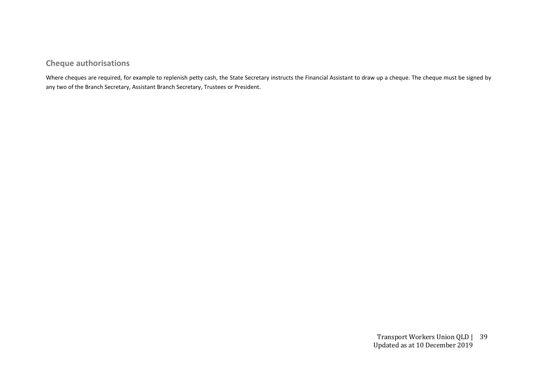# **Cheque authorisations**

Where cheques are required, for example to replenish petty cash, the State Secretary instructs the Financial Assistant to draw up a cheque. The cheque must be signed by any two of the Branch Secretary, Assistant Branch Secretary, Trustees or President.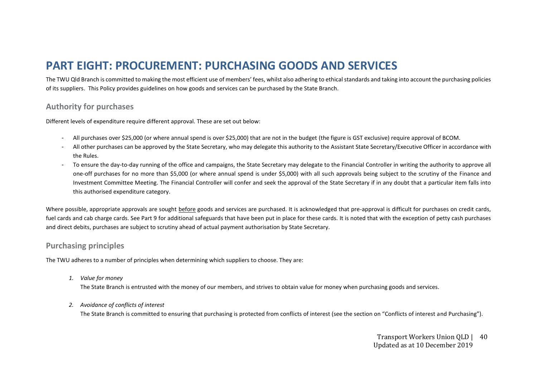# **PART EIGHT: PROCUREMENT: PURCHASING GOODS AND SERVICES**

The TWU Qld Branch is committed to making the most efficient use of members' fees, whilst also adhering to ethical standards and taking into account the purchasing policies of its suppliers. This Policy provides guidelines on how goods and services can be purchased by the State Branch.

# **Authority for purchases**

Different levels of expenditure require different approval. These are set out below:

- All purchases over \$25,000 (or where annual spend is over \$25,000) that are not in the budget (the figure is GST exclusive) require approval of BCOM.
- All other purchases can be approved by the State Secretary, who may delegate this authority to the Assistant State Secretary/Executive Officer in accordance with the Rules.
- To ensure the day-to-day running of the office and campaigns, the State Secretary may delegate to the Financial Controller in writing the authority to approve all one-off purchases for no more than \$5,000 (or where annual spend is under \$5,000) with all such approvals being subject to the scrutiny of the Finance and Investment Committee Meeting. The Financial Controller will confer and seek the approval of the State Secretary if in any doubt that a particular item falls into this authorised expenditure category.

Where possible, appropriate approvals are sought before goods and services are purchased. It is acknowledged that pre-approval is difficult for purchases on credit cards, fuel cards and cab charge cards. See Part 9 for additional safeguards that have been put in place for these cards. It is noted that with the exception of petty cash purchases and direct debits, purchases are subject to scrutiny ahead of actual payment authorisation by State Secretary.

# **Purchasing principles**

The TWU adheres to a number of principles when determining which suppliers to choose. They are:

*1. Value for money*

The State Branch is entrusted with the money of our members, and strives to obtain value for money when purchasing goods and services.

*2. Avoidance of conflicts of interest* 

The State Branch is committed to ensuring that purchasing is protected from conflicts of interest (see the section on "Conflicts of interest and Purchasing").

Transport Workers Union QLD | 40 Updated as at 10 December 2019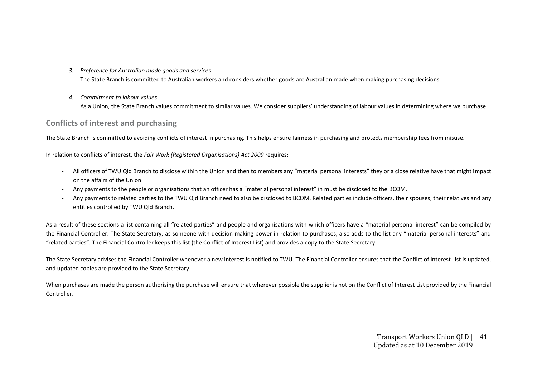*3. Preference for Australian made goods and services*

The State Branch is committed to Australian workers and considers whether goods are Australian made when making purchasing decisions.

*4. Commitment to labour values* As a Union, the State Branch values commitment to similar values. We consider suppliers' understanding of labour values in determining where we purchase.

# **Conflicts of interest and purchasing**

The State Branch is committed to avoiding conflicts of interest in purchasing. This helps ensure fairness in purchasing and protects membership fees from misuse.

In relation to conflicts of interest, the *Fair Work (Registered Organisations) Act 2009* requires:

- All officers of TWU Qld Branch to disclose within the Union and then to members any "material personal interests" they or a close relative have that might impact on the affairs of the Union
- Any payments to the people or organisations that an officer has a "material personal interest" in must be disclosed to the BCOM.
- Any payments to related parties to the TWU Qld Branch need to also be disclosed to BCOM. Related parties include officers, their spouses, their relatives and any entities controlled by TWU Qld Branch.

As a result of these sections a list containing all "related parties" and people and organisations with which officers have a "material personal interest" can be compiled by the Financial Controller. The State Secretary, as someone with decision making power in relation to purchases, also adds to the list any "material personal interests" and "related parties". The Financial Controller keeps this list (the Conflict of Interest List) and provides a copy to the State Secretary.

The State Secretary advises the Financial Controller whenever a new interest is notified to TWU. The Financial Controller ensures that the Conflict of Interest List is updated, and updated copies are provided to the State Secretary.

When purchases are made the person authorising the purchase will ensure that wherever possible the supplier is not on the Conflict of Interest List provided by the Financial **Controller**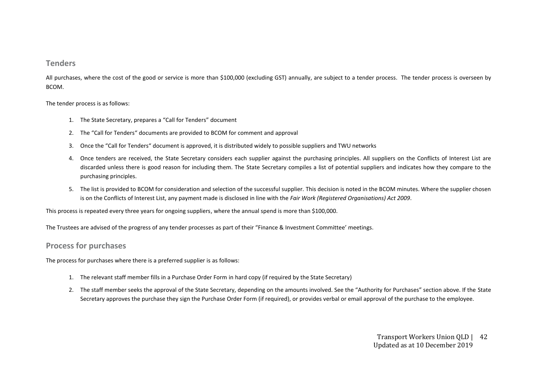#### **Tenders**

All purchases, where the cost of the good or service is more than \$100,000 (excluding GST) annually, are subject to a tender process. The tender process is overseen by BCOM.

The tender process is as follows:

- 1. The State Secretary, prepares a "Call for Tenders" document
- 2. The "Call for Tenders" documents are provided to BCOM for comment and approval
- 3. Once the "Call for Tenders" document is approved, it is distributed widely to possible suppliers and TWU networks
- 4. Once tenders are received, the State Secretary considers each supplier against the purchasing principles. All suppliers on the Conflicts of Interest List are discarded unless there is good reason for including them. The State Secretary compiles a list of potential suppliers and indicates how they compare to the purchasing principles.
- 5. The list is provided to BCOM for consideration and selection of the successful supplier. This decision is noted in the BCOM minutes. Where the supplier chosen is on the Conflicts of Interest List, any payment made is disclosed in line with the *Fair Work (Registered Organisations) Act 2009*.

This process is repeated every three years for ongoing suppliers, where the annual spend is more than \$100,000.

The Trustees are advised of the progress of any tender processes as part of their "Finance & Investment Committee' meetings.

#### **Process for purchases**

The process for purchases where there is a preferred supplier is as follows:

- 1. The relevant staff member fills in a Purchase Order Form in hard copy (if required by the State Secretary)
- 2. The staff member seeks the approval of the State Secretary, depending on the amounts involved. See the "Authority for Purchases" section above. If the State Secretary approves the purchase they sign the Purchase Order Form (if required), or provides verbal or email approval of the purchase to the employee.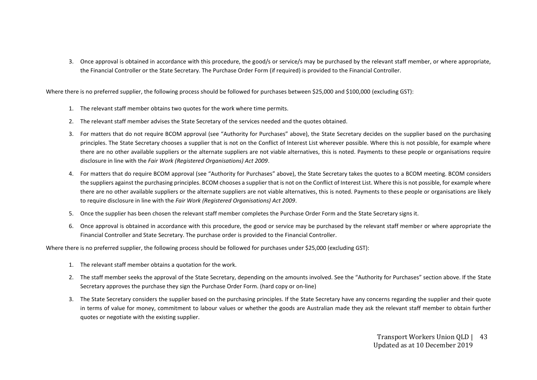3. Once approval is obtained in accordance with this procedure, the good/s or service/s may be purchased by the relevant staff member, or where appropriate, the Financial Controller or the State Secretary. The Purchase Order Form (if required) is provided to the Financial Controller.

Where there is no preferred supplier, the following process should be followed for purchases between \$25,000 and \$100,000 (excluding GST):

- 1. The relevant staff member obtains two quotes for the work where time permits.
- 2. The relevant staff member advises the State Secretary of the services needed and the quotes obtained.
- 3. For matters that do not require BCOM approval (see "Authority for Purchases" above), the State Secretary decides on the supplier based on the purchasing principles. The State Secretary chooses a supplier that is not on the Conflict of Interest List wherever possible. Where this is not possible, for example where there are no other available suppliers or the alternate suppliers are not viable alternatives, this is noted. Payments to these people or organisations require disclosure in line with the *Fair Work (Registered Organisations) Act 2009*.
- 4. For matters that do require BCOM approval (see "Authority for Purchases" above), the State Secretary takes the quotes to a BCOM meeting. BCOM considers the suppliers against the purchasing principles. BCOM chooses a supplier that is not on the Conflict of Interest List. Where this is not possible, for example where there are no other available suppliers or the alternate suppliers are not viable alternatives, this is noted. Payments to these people or organisations are likely to require disclosure in line with the *Fair Work (Registered Organisations) Act 2009*.
- 5. Once the supplier has been chosen the relevant staff member completes the Purchase Order Form and the State Secretary signs it.
- 6. Once approval is obtained in accordance with this procedure, the good or service may be purchased by the relevant staff member or where appropriate the Financial Controller and State Secretary. The purchase order is provided to the Financial Controller.

Where there is no preferred supplier, the following process should be followed for purchases under \$25,000 (excluding GST):

- 1. The relevant staff member obtains a quotation for the work.
- 2. The staff member seeks the approval of the State Secretary, depending on the amounts involved. See the "Authority for Purchases" section above. If the State Secretary approves the purchase they sign the Purchase Order Form. (hard copy or on-line)
- 3. The State Secretary considers the supplier based on the purchasing principles. If the State Secretary have any concerns regarding the supplier and their quote in terms of value for money, commitment to labour values or whether the goods are Australian made they ask the relevant staff member to obtain further quotes or negotiate with the existing supplier.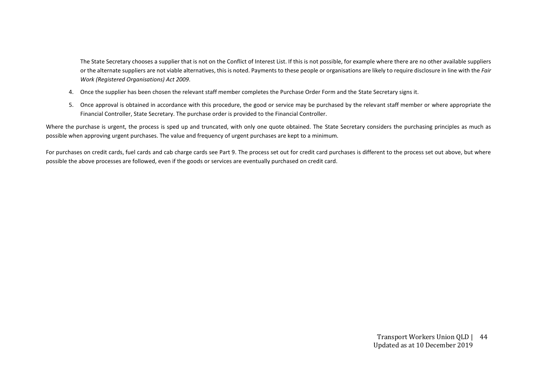The State Secretary chooses a supplier that is not on the Conflict of Interest List. If this is not possible, for example where there are no other available suppliers or the alternate suppliers are not viable alternatives, this is noted. Payments to these people or organisations are likely to require disclosure in line with the *Fair Work (Registered Organisations) Act 2009*.

- 4. Once the supplier has been chosen the relevant staff member completes the Purchase Order Form and the State Secretary signs it.
- 5. Once approval is obtained in accordance with this procedure, the good or service may be purchased by the relevant staff member or where appropriate the Financial Controller, State Secretary. The purchase order is provided to the Financial Controller.

Where the purchase is urgent, the process is sped up and truncated, with only one quote obtained. The State Secretary considers the purchasing principles as much as possible when approving urgent purchases. The value and frequency of urgent purchases are kept to a minimum.

For purchases on credit cards, fuel cards and cab charge cards see Part 9. The process set out for credit card purchases is different to the process set out above, but where possible the above processes are followed, even if the goods or services are eventually purchased on credit card.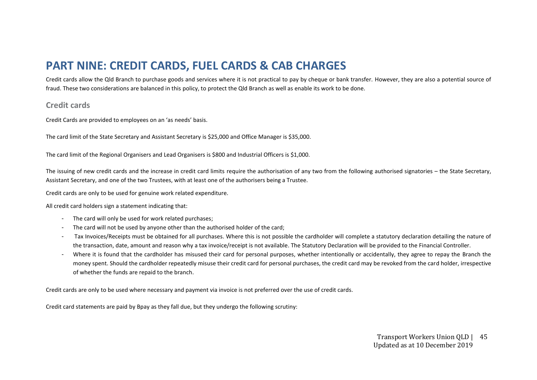# **PART NINE: CREDIT CARDS, FUEL CARDS & CAB CHARGES**

Credit cards allow the Qld Branch to purchase goods and services where it is not practical to pay by cheque or bank transfer. However, they are also a potential source of fraud. These two considerations are balanced in this policy, to protect the Qld Branch as well as enable its work to be done.

### **Credit cards**

Credit Cards are provided to employees on an 'as needs' basis.

The card limit of the State Secretary and Assistant Secretary is \$25,000 and Office Manager is \$35,000.

The card limit of the Regional Organisers and Lead Organisers is \$800 and Industrial Officers is \$1,000.

The issuing of new credit cards and the increase in credit card limits require the authorisation of any two from the following authorised signatories – the State Secretary, Assistant Secretary, and one of the two Trustees, with at least one of the authorisers being a Trustee.

Credit cards are only to be used for genuine work related expenditure.

All credit card holders sign a statement indicating that:

- The card will only be used for work related purchases;
- The card will not be used by anyone other than the authorised holder of the card;
- Tax Invoices/Receipts must be obtained for all purchases. Where this is not possible the cardholder will complete a statutory declaration detailing the nature of the transaction, date, amount and reason why a tax invoice/receipt is not available. The Statutory Declaration will be provided to the Financial Controller.
- Where it is found that the cardholder has misused their card for personal purposes, whether intentionally or accidentally, they agree to repay the Branch the money spent. Should the cardholder repeatedly misuse their credit card for personal purchases, the credit card may be revoked from the card holder, irrespective of whether the funds are repaid to the branch.

Credit cards are only to be used where necessary and payment via invoice is not preferred over the use of credit cards.

Credit card statements are paid by Bpay as they fall due, but they undergo the following scrutiny: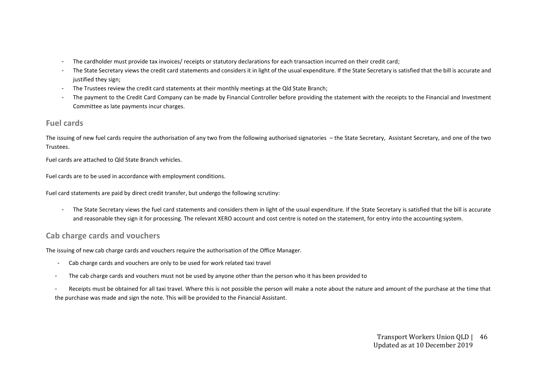- The cardholder must provide tax invoices/ receipts or statutory declarations for each transaction incurred on their credit card;
- The State Secretary views the credit card statements and considers it in light of the usual expenditure. If the State Secretary is satisfied that the bill is accurate and justified they sign;
- The Trustees review the credit card statements at their monthly meetings at the Qld State Branch;
- The payment to the Credit Card Company can be made by Financial Controller before providing the statement with the receipts to the Financial and Investment Committee as late payments incur charges.

# **Fuel cards**

The issuing of new fuel cards require the authorisation of any two from the following authorised signatories – the State Secretary, Assistant Secretary, and one of the two Trustees.

Fuel cards are attached to Qld State Branch vehicles.

Fuel cards are to be used in accordance with employment conditions.

Fuel card statements are paid by direct credit transfer, but undergo the following scrutiny:

- The State Secretary views the fuel card statements and considers them in light of the usual expenditure. If the State Secretary is satisfied that the bill is accurate and reasonable they sign it for processing. The relevant XERO account and cost centre is noted on the statement, for entry into the accounting system.

# **Cab charge cards and vouchers**

The issuing of new cab charge cards and vouchers require the authorisation of the Office Manager.

- Cab charge cards and vouchers are only to be used for work related taxi travel
- The cab charge cards and vouchers must not be used by anyone other than the person who it has been provided to
- Receipts must be obtained for all taxi travel. Where this is not possible the person will make a note about the nature and amount of the purchase at the time that the purchase was made and sign the note. This will be provided to the Financial Assistant.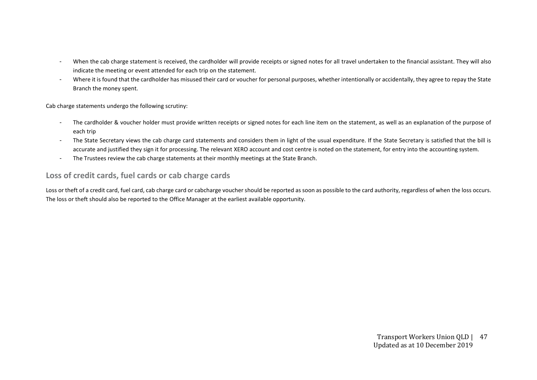- When the cab charge statement is received, the cardholder will provide receipts or signed notes for all travel undertaken to the financial assistant. They will also indicate the meeting or event attended for each trip on the statement.
- Where it is found that the cardholder has misused their card or voucher for personal purposes, whether intentionally or accidentally, they agree to repay the State Branch the money spent.

Cab charge statements undergo the following scrutiny:

- The cardholder & voucher holder must provide written receipts or signed notes for each line item on the statement, as well as an explanation of the purpose of each trip
- The State Secretary views the cab charge card statements and considers them in light of the usual expenditure. If the State Secretary is satisfied that the bill is accurate and justified they sign it for processing. The relevant XERO account and cost centre is noted on the statement, for entry into the accounting system.
- The Trustees review the cab charge statements at their monthly meetings at the State Branch.

# **Loss of credit cards, fuel cards or cab charge cards**

Loss or theft of a credit card, fuel card, cab charge card or cabcharge voucher should be reported as soon as possible to the card authority, regardless of when the loss occurs. The loss or theft should also be reported to the Office Manager at the earliest available opportunity.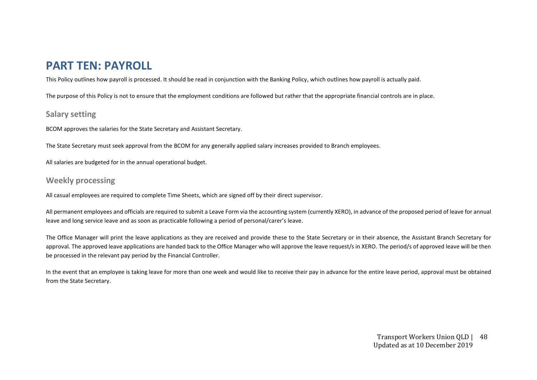# **PART TEN: PAYROLL**

This Policy outlines how payroll is processed. It should be read in conjunction with the Banking Policy, which outlines how payroll is actually paid.

The purpose of this Policy is not to ensure that the employment conditions are followed but rather that the appropriate financial controls are in place.

# **Salary setting**

BCOM approves the salaries for the State Secretary and Assistant Secretary.

The State Secretary must seek approval from the BCOM for any generally applied salary increases provided to Branch employees.

All salaries are budgeted for in the annual operational budget.

# **Weekly processing**

All casual employees are required to complete Time Sheets, which are signed off by their direct supervisor.

All permanent employees and officials are required to submit a Leave Form via the accounting system (currently XERO), in advance of the proposed period of leave for annual leave and long service leave and as soon as practicable following a period of personal/carer's leave.

The Office Manager will print the leave applications as they are received and provide these to the State Secretary or in their absence, the Assistant Branch Secretary for approval. The approved leave applications are handed back to the Office Manager who will approve the leave request/s in XERO. The period/s of approved leave will be then be processed in the relevant pay period by the Financial Controller.

In the event that an employee is taking leave for more than one week and would like to receive their pay in advance for the entire leave period, approval must be obtained from the State Secretary.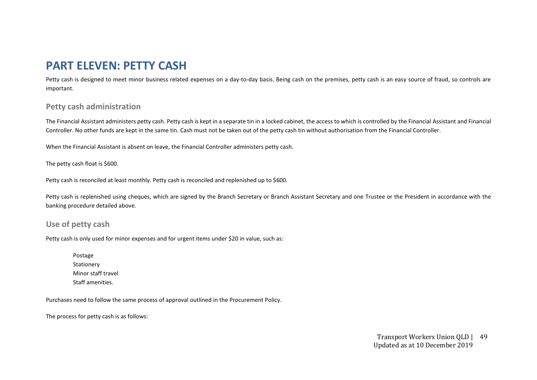# **PART ELEVEN: PETTY CASH**

Petty cash is designed to meet minor business related expenses on a day-to-day basis. Being cash on the premises, petty cash is an easy source of fraud, so controls are important.

# **Petty cash administration**

The Financial Assistant administers petty cash. Petty cash is kept in a separate tin in a locked cabinet, the access to which is controlled by the Financial Assistant and Financial Controller. No other funds are kept in the same tin. Cash must not be taken out of the petty cash tin without authorisation from the Financial Controller.

When the Financial Assistant is absent on leave, the Financial Controller administers petty cash.

The petty cash float is \$600.

Petty cash is reconciled at least monthly. Petty cash is reconciled and replenished up to \$600.

Petty cash is replenished using cheques, which are signed by the Branch Secretary or Branch Assistant Secretary and one Trustee or the President in accordance with the banking procedure detailed above.

# **Use of petty cash**

Petty cash is only used for minor expenses and for urgent items under \$20 in value, such as:

Postage Stationery Minor staff travel Staff amenities.

Purchases need to follow the same process of approval outlined in the Procurement Policy.

The process for petty cash is as follows: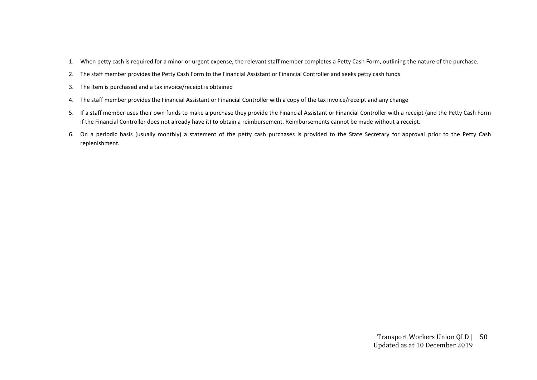- 1. When petty cash is required for a minor or urgent expense, the relevant staff member completes a Petty Cash Form, outlining the nature of the purchase.
- 2. The staff member provides the Petty Cash Form to the Financial Assistant or Financial Controller and seeks petty cash funds
- 3. The item is purchased and a tax invoice/receipt is obtained
- 4. The staff member provides the Financial Assistant or Financial Controller with a copy of the tax invoice/receipt and any change
- 5. If a staff member uses their own funds to make a purchase they provide the Financial Assistant or Financial Controller with a receipt (and the Petty Cash Form if the Financial Controller does not already have it) to obtain a reimbursement. Reimbursements cannot be made without a receipt.
- 6. On a periodic basis (usually monthly) a statement of the petty cash purchases is provided to the State Secretary for approval prior to the Petty Cash replenishment.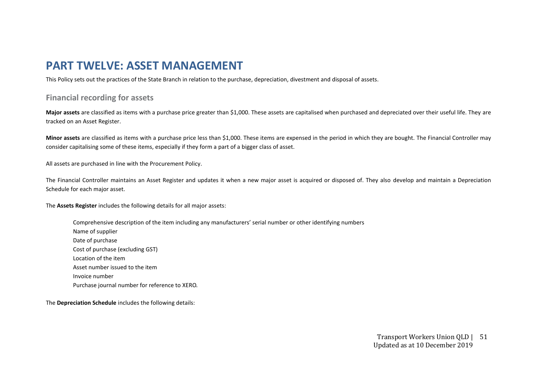# **PART TWELVE: ASSET MANAGEMENT**

This Policy sets out the practices of the State Branch in relation to the purchase, depreciation, divestment and disposal of assets.

# **Financial recording for assets**

**Major assets** are classified as items with a purchase price greater than \$1,000. These assets are capitalised when purchased and depreciated over their useful life. They are tracked on an Asset Register.

**Minor assets** are classified as items with a purchase price less than \$1,000. These items are expensed in the period in which they are bought. The Financial Controller may consider capitalising some of these items, especially if they form a part of a bigger class of asset.

All assets are purchased in line with the Procurement Policy.

The Financial Controller maintains an Asset Register and updates it when a new major asset is acquired or disposed of. They also develop and maintain a Depreciation Schedule for each major asset.

The **Assets Register** includes the following details for all major assets:

Comprehensive description of the item including any manufacturers' serial number or other identifying numbers Name of supplier Date of purchase Cost of purchase (excluding GST) Location of the item Asset number issued to the item Invoice number Purchase journal number for reference to XERO.

The **Depreciation Schedule** includes the following details: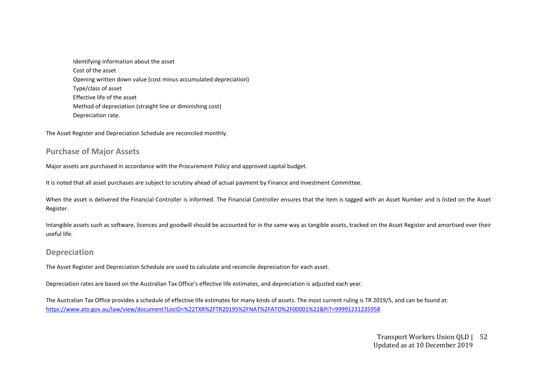Identifying information about the asset Cost of the asset Opening written down value (cost minus accumulated depreciation) Type/class of asset Effective life of the asset Method of depreciation (straight line or diminishing cost) Depreciation rate.

The Asset Register and Depreciation Schedule are reconciled monthly.

### **Purchase of Major Assets**

Major assets are purchased in accordance with the Procurement Policy and approved capital budget.

It is noted that all asset purchases are subject to scrutiny ahead of actual payment by Finance and Investment Committee.

When the asset is delivered the Financial Controller is informed. The Financial Controller ensures that the item is tagged with an Asset Number and is listed on the Asset Register.

Intangible assets such as software, licences and goodwill should be accounted for in the same way as tangible assets, tracked on the Asset Register and amortised over their useful life.

#### **Depreciation**

The Asset Register and Depreciation Schedule are used to calculate and reconcile depreciation for each asset.

Depreciation rates are based on the Australian Tax Office's effective life estimates, and depreciation is adjusted each year.

The Australian Tax Office provides a schedule of effective life estimates for many kinds of assets. The most current ruling is TR 2019/5, and can be found at: <https://www.ato.gov.au/law/view/document?LocID=%22TXR%2FTR20195%2FNAT%2FATO%2F00001%22&PiT=99991231235958>

#### Transport Workers Union QLD | 52 Updated as at 10 December 2019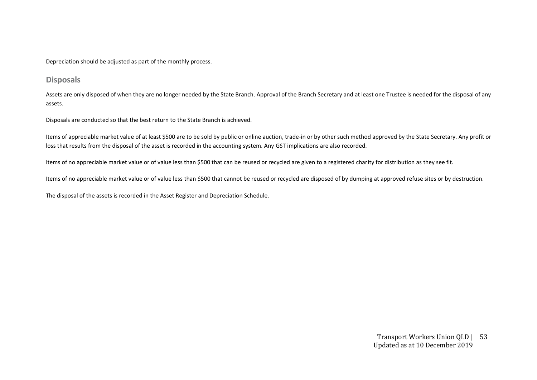Depreciation should be adjusted as part of the monthly process.

### **Disposals**

Assets are only disposed of when they are no longer needed by the State Branch. Approval of the Branch Secretary and at least one Trustee is needed for the disposal of any assets.

Disposals are conducted so that the best return to the State Branch is achieved.

Items of appreciable market value of at least \$500 are to be sold by public or online auction, trade-in or by other such method approved by the State Secretary. Any profit or loss that results from the disposal of the asset is recorded in the accounting system. Any GST implications are also recorded.

Items of no appreciable market value or of value less than \$500 that can be reused or recycled are given to a registered charity for distribution as they see fit.

Items of no appreciable market value or of value less than \$500 that cannot be reused or recycled are disposed of by dumping at approved refuse sites or by destruction.

The disposal of the assets is recorded in the Asset Register and Depreciation Schedule.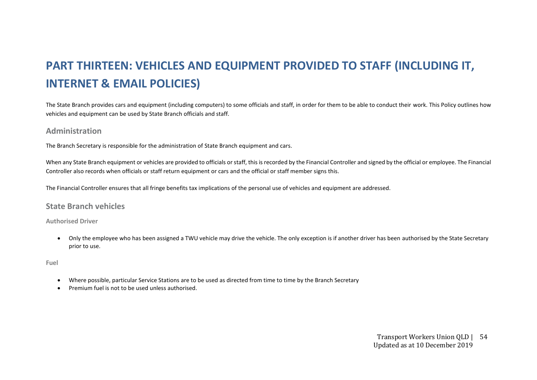# **PART THIRTEEN: VEHICLES AND EQUIPMENT PROVIDED TO STAFF (INCLUDING IT, INTERNET & EMAIL POLICIES)**

The State Branch provides cars and equipment (including computers) to some officials and staff, in order for them to be able to conduct their work. This Policy outlines how vehicles and equipment can be used by State Branch officials and staff.

### **Administration**

The Branch Secretary is responsible for the administration of State Branch equipment and cars.

When any State Branch equipment or vehicles are provided to officials or staff, this is recorded by the Financial Controller and signed by the official or employee. The Financial Controller also records when officials or staff return equipment or cars and the official or staff member signs this.

The Financial Controller ensures that all fringe benefits tax implications of the personal use of vehicles and equipment are addressed.

### **State Branch vehicles**

#### **Authorised Driver**

• Only the employee who has been assigned a TWU vehicle may drive the vehicle. The only exception is if another driver has been authorised by the State Secretary prior to use.

#### **Fuel**

- Where possible, particular Service Stations are to be used as directed from time to time by the Branch Secretary
- Premium fuel is not to be used unless authorised.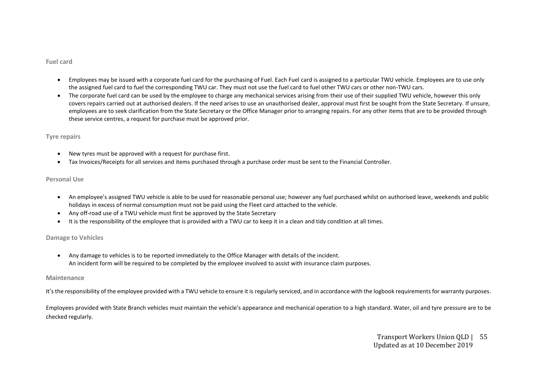#### **Fuel card**

- Employees may be issued with a corporate fuel card for the purchasing of Fuel. Each Fuel card is assigned to a particular TWU vehicle. Employees are to use only the assigned fuel card to fuel the corresponding TWU car. They must not use the fuel card to fuel other TWU cars or other non-TWU cars.
- The corporate fuel card can be used by the employee to charge any mechanical services arising from their use of their supplied TWU vehicle, however this only covers repairs carried out at authorised dealers. If the need arises to use an unauthorised dealer, approval must first be sought from the State Secretary. If unsure, employees are to seek clarification from the State Secretary or the Office Manager prior to arranging repairs. For any other items that are to be provided through these service centres, a request for purchase must be approved prior.

#### **Tyre repairs**

- New tyres must be approved with a request for purchase first.
- Tax Invoices/Receipts for all services and items purchased through a purchase order must be sent to the Financial Controller.

#### **Personal Use**

- An employee's assigned TWU vehicle is able to be used for reasonable personal use; however any fuel purchased whilst on authorised leave, weekends and public holidays in excess of normal consumption must not be paid using the Fleet card attached to the vehicle.
- Any off-road use of a TWU vehicle must first be approved by the State Secretary
- It is the responsibility of the employee that is provided with a TWU car to keep it in a clean and tidy condition at all times.

#### **Damage to Vehicles**

• Any damage to vehicles is to be reported immediately to the Office Manager with details of the incident. An incident form will be required to be completed by the employee involved to assist with insurance claim purposes.

#### **Maintenance**

It's the responsibility of the employee provided with a TWU vehicle to ensure it is regularly serviced, and in accordance with the logbook requirements for warranty purposes.

Employees provided with State Branch vehicles must maintain the vehicle's appearance and mechanical operation to a high standard. Water, oil and tyre pressure are to be checked regularly.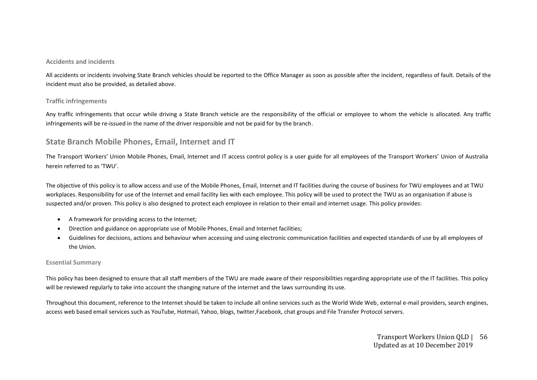#### **Accidents and incidents**

All accidents or incidents involving State Branch vehicles should be reported to the Office Manager as soon as possible after the incident, regardless of fault. Details of the incident must also be provided, as detailed above.

#### **Traffic infringements**

Any traffic infringements that occur while driving a State Branch vehicle are the responsibility of the official or employee to whom the vehicle is allocated. Any traffic infringements will be re-issued in the name of the driver responsible and not be paid for by the branch.

### **State Branch Mobile Phones, Email, Internet and IT**

The Transport Workers' Union Mobile Phones, Email, Internet and IT access control policy is a user guide for all employees of the Transport Workers' Union of Australia herein referred to as 'TWU'.

The objective of this policy is to allow access and use of the Mobile Phones, Email, Internet and IT facilities during the course of business for TWU employees and at TWU workplaces. Responsibility for use of the Internet and email facility lies with each employee. This policy will be used to protect the TWU as an organisation if abuse is suspected and/or proven. This policy is also designed to protect each employee in relation to their email and internet usage. This policy provides:

- A framework for providing access to the Internet;
- Direction and guidance on appropriate use of Mobile Phones, Email and Internet facilities;
- Guidelines for decisions, actions and behaviour when accessing and using electronic communication facilities and expected standards of use by all employees of the Union.

#### **Essential Summary**

This policy has been designed to ensure that all staff members of the TWU are made aware of their responsibilities regarding appropriate use of the IT facilities. This policy will be reviewed regularly to take into account the changing nature of the internet and the laws surrounding its use.

Throughout this document, reference to the Internet should be taken to include all online services such as the World Wide Web, external e-mail providers, search engines, access web based email services such as YouTube, Hotmail, Yahoo, blogs, twitter,Facebook, chat groups and File Transfer Protocol servers.

#### Transport Workers Union QLD | 56 Updated as at 10 December 2019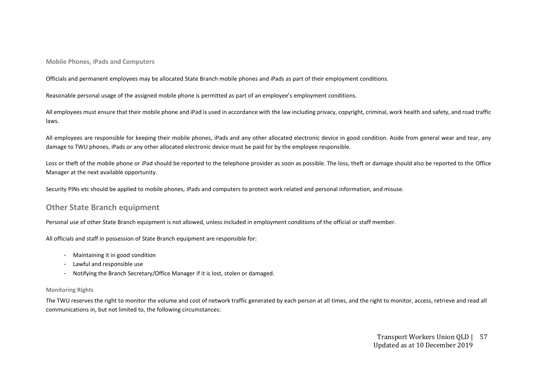**Mobile Phones, iPads and Computers**

Officials and permanent employees may be allocated State Branch mobile phones and iPads as part of their employment conditions.

Reasonable personal usage of the assigned mobile phone is permitted as part of an employee's employment conditions.

All employees must ensure that their mobile phone and iPad is used in accordance with the law including privacy, copyright, criminal, work health and safety, and road traffic laws.

All employees are responsible for keeping their mobile phones, iPads and any other allocated electronic device in good condition. Aside from general wear and tear, any damage to TWU phones, iPads or any other allocated electronic device must be paid for by the employee responsible.

Loss or theft of the mobile phone or iPad should be reported to the telephone provider as soon as possible. The loss, theft or damage should also be reported to the Office Manager at the next available opportunity.

Security PINs etc should be applied to mobile phones, iPads and computers to protect work related and personal information, and misuse.

### **Other State Branch equipment**

Personal use of other State Branch equipment is not allowed, unless included in employment conditions of the official or staff member.

All officials and staff in possession of State Branch equipment are responsible for:

- Maintaining it in good condition
- Lawful and responsible use
- Notifying the Branch Secretary/Office Manager if it is lost, stolen or damaged.

#### **Monitoring Rights**

The TWU reserves the right to monitor the volume and cost of network traffic generated by each person at all times, and the right to monitor, access, retrieve and read all communications in, but not limited to, the following circumstances: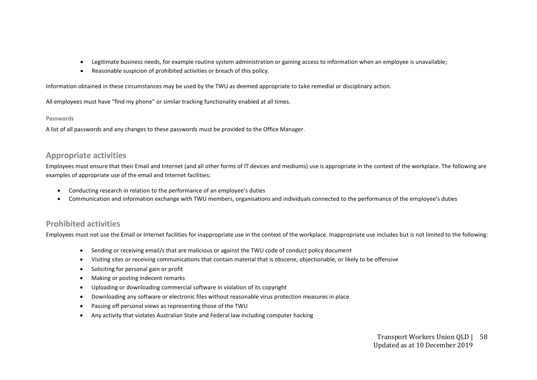- Legitimate business needs, for example routine system administration or gaining access to information when an employee is unavailable;
- Reasonable suspicion of prohibited activities or breach of this policy.

Information obtained in these circumstances may be used by the TWU as deemed appropriate to take remedial or disciplinary action.

All employees must have "find my phone" or similar tracking functionality enabled at all times.

#### **Passwords**

A list of all passwords and any changes to these passwords must be provided to the Office Manager.

### **Appropriate activities**

Employees must ensure that their Email and Internet (and all other forms of IT devices and mediums) use is appropriate in the context of the workplace. The following are examples of appropriate use of the email and Internet facilities:

- Conducting research in relation to the performance of an employee's duties
- Communication and information exchange with TWU members, organisations and individuals connected to the performance of the employee's duties

### **Prohibited activities**

Employees must not use the Email or Internet facilities for inappropriate use in the context of the workplace. Inappropriate use includes but is not limited to the following:

- Sending or receiving email/s that are malicious or against the TWU code of conduct policy document
- Visiting sites or receiving communications that contain material that is obscene, objectionable, or likely to be offensive
- Soliciting for personal gain or profit
- Making or posting indecent remarks
- Uploading or downloading commercial software in violation of its copyright
- Downloading any software or electronic files without reasonable virus protection measures in place
- Passing off personal views as representing those of the TWU
- Any activity that violates Australian State and Federal law including computer hacking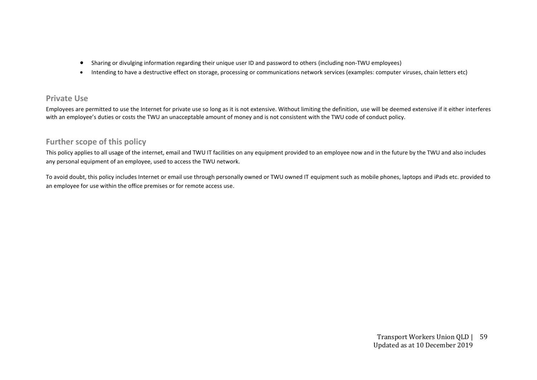- Sharing or divulging information regarding their unique user ID and password to others (including non-TWU employees)
- Intending to have a destructive effect on storage, processing or communications network services (examples: computer viruses, chain letters etc)

# **Private Use**

Employees are permitted to use the Internet for private use so long as it is not extensive. Without limiting the definition, use will be deemed extensive if it either interferes with an employee's duties or costs the TWU an unacceptable amount of money and is not consistent with the TWU code of conduct policy.

# **Further scope of this policy**

This policy applies to all usage of the internet, email and TWU IT facilities on any equipment provided to an employee now and in the future by the TWU and also includes any personal equipment of an employee, used to access the TWU network.

To avoid doubt, this policy includes Internet or email use through personally owned or TWU owned IT equipment such as mobile phones, laptops and iPads etc. provided to an employee for use within the office premises or for remote access use.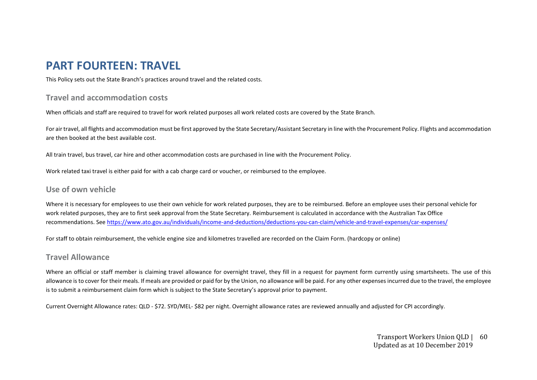# **PART FOURTEEN: TRAVEL**

This Policy sets out the State Branch's practices around travel and the related costs.

# **Travel and accommodation costs**

When officials and staff are required to travel for work related purposes all work related costs are covered by the State Branch.

For air travel, all flights and accommodation must be first approved by the State Secretary/Assistant Secretary in line with the Procurement Policy. Flights and accommodation are then booked at the best available cost.

All train travel, bus travel, car hire and other accommodation costs are purchased in line with the Procurement Policy.

Work related taxi travel is either paid for with a cab charge card or voucher, or reimbursed to the employee.

### **Use of own vehicle**

Where it is necessary for employees to use their own vehicle for work related purposes, they are to be reimbursed. Before an employee uses their personal vehicle for work related purposes, they are to first seek approval from the State Secretary. Reimbursement is calculated in accordance with the Australian Tax Office recommendations. See<https://www.ato.gov.au/individuals/income-and-deductions/deductions-you-can-claim/vehicle-and-travel-expenses/car-expenses/>

For staff to obtain reimbursement, the vehicle engine size and kilometres travelled are recorded on the Claim Form. (hardcopy or online)

# **Travel Allowance**

Where an official or staff member is claiming travel allowance for overnight travel, they fill in a request for payment form currently using smartsheets. The use of this allowance is to cover for their meals. If meals are provided or paid for by the Union, no allowance will be paid. For any other expenses incurred due to the travel, the employee is to submit a reimbursement claim form which is subject to the State Secretary's approval prior to payment.

Current Overnight Allowance rates: QLD - \$72. SYD/MEL- \$82 per night. Overnight allowance rates are reviewed annually and adjusted for CPI accordingly.

#### Transport Workers Union QLD | 60 Updated as at 10 December 2019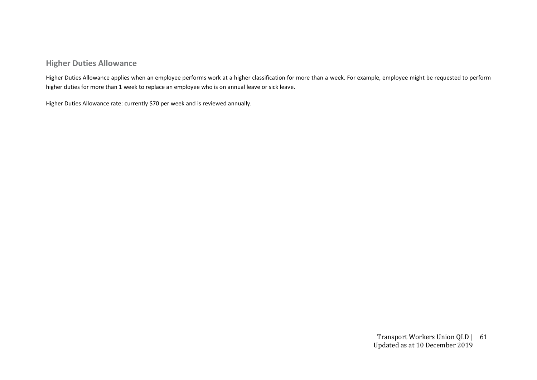# **Higher Duties Allowance**

Higher Duties Allowance applies when an employee performs work at a higher classification for more than a week. For example, employee might be requested to perform higher duties for more than 1 week to replace an employee who is on annual leave or sick leave.

Higher Duties Allowance rate: currently \$70 per week and is reviewed annually.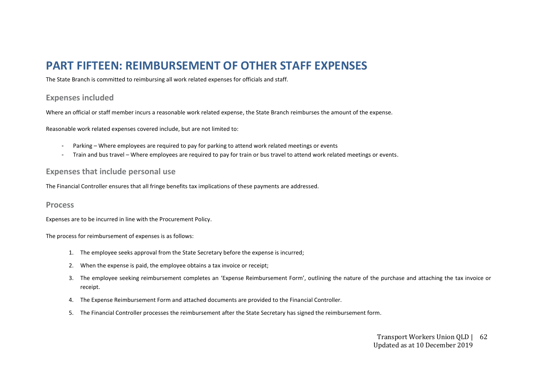# **PART FIFTEEN: REIMBURSEMENT OF OTHER STAFF EXPENSES**

The State Branch is committed to reimbursing all work related expenses for officials and staff.

#### **Expenses included**

Where an official or staff member incurs a reasonable work related expense, the State Branch reimburses the amount of the expense.

Reasonable work related expenses covered include, but are not limited to:

- Parking Where employees are required to pay for parking to attend work related meetings or events
- Train and bus travel Where employees are required to pay for train or bus travel to attend work related meetings or events.

#### **Expenses that include personal use**

The Financial Controller ensures that all fringe benefits tax implications of these payments are addressed.

#### **Process**

Expenses are to be incurred in line with the Procurement Policy.

The process for reimbursement of expenses is as follows:

- 1. The employee seeks approval from the State Secretary before the expense is incurred;
- 2. When the expense is paid, the employee obtains a tax invoice or receipt;
- 3. The employee seeking reimbursement completes an 'Expense Reimbursement Form', outlining the nature of the purchase and attaching the tax invoice or receipt.
- 4. The Expense Reimbursement Form and attached documents are provided to the Financial Controller.
- 5. The Financial Controller processes the reimbursement after the State Secretary has signed the reimbursement form.

#### Transport Workers Union QLD | 62 Updated as at 10 December 2019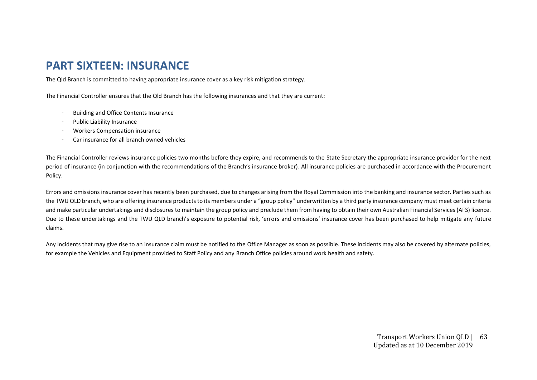# **PART SIXTEEN: INSURANCE**

The Qld Branch is committed to having appropriate insurance cover as a key risk mitigation strategy.

The Financial Controller ensures that the Qld Branch has the following insurances and that they are current:

- Building and Office Contents Insurance
- Public Liability Insurance
- Workers Compensation insurance
- Car insurance for all branch owned vehicles

The Financial Controller reviews insurance policies two months before they expire, and recommends to the State Secretary the appropriate insurance provider for the next period of insurance (in conjunction with the recommendations of the Branch's insurance broker). All insurance policies are purchased in accordance with the Procurement Policy.

Errors and omissions insurance cover has recently been purchased, due to changes arising from the Royal Commission into the banking and insurance sector. Parties such as the TWU QLD branch, who are offering insurance products to its members under a "group policy" underwritten by a third party insurance company must meet certain criteria and make particular undertakings and disclosures to maintain the group policy and preclude them from having to obtain their own Australian Financial Services (AFS) licence. Due to these undertakings and the TWU QLD branch's exposure to potential risk, 'errors and omissions' insurance cover has been purchased to help mitigate any future claims.

Any incidents that may give rise to an insurance claim must be notified to the Office Manager as soon as possible. These incidents may also be covered by alternate policies, for example the Vehicles and Equipment provided to Staff Policy and any Branch Office policies around work health and safety.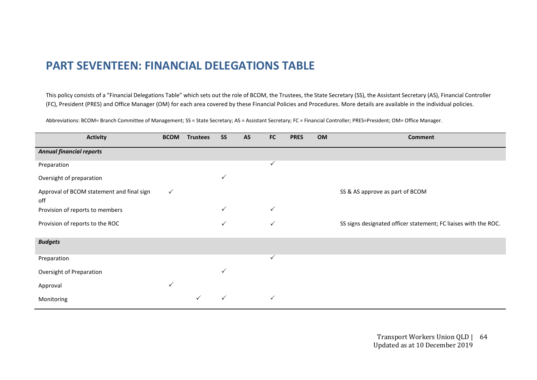# **PART SEVENTEEN: FINANCIAL DELEGATIONS TABLE**

This policy consists of a "Financial Delegations Table" which sets out the role of BCOM, the Trustees, the State Secretary (SS), the Assistant Secretary (AS), Financial Controller (FC), President (PRES) and Office Manager (OM) for each area covered by these Financial Policies and Procedures. More details are available in the individual policies.

Abbreviations: BCOM= Branch Committee of Management; SS = State Secretary; AS = Assistant Secretary; FC = Financial Controller; PRES=President; OM= Office Manager.

| <b>Activity</b>                                  | <b>BCOM</b>  | <b>Trustees</b> | <b>SS</b> | AS | <b>FC</b>    | <b>PRES</b> | OM | Comment                                                         |
|--------------------------------------------------|--------------|-----------------|-----------|----|--------------|-------------|----|-----------------------------------------------------------------|
| <b>Annual financial reports</b>                  |              |                 |           |    |              |             |    |                                                                 |
| Preparation                                      |              |                 |           |    | $\checkmark$ |             |    |                                                                 |
| Oversight of preparation                         |              |                 | ✓         |    |              |             |    |                                                                 |
| Approval of BCOM statement and final sign<br>off | $\checkmark$ |                 |           |    |              |             |    | SS & AS approve as part of BCOM                                 |
| Provision of reports to members                  |              |                 | ✓         |    | $\checkmark$ |             |    |                                                                 |
| Provision of reports to the ROC                  |              |                 | ✓         |    | ✓            |             |    | SS signs designated officer statement; FC liaises with the ROC. |
| <b>Budgets</b>                                   |              |                 |           |    |              |             |    |                                                                 |
| Preparation                                      |              |                 |           |    | ✓            |             |    |                                                                 |
| Oversight of Preparation                         |              |                 |           |    |              |             |    |                                                                 |
| Approval                                         | $\checkmark$ |                 |           |    |              |             |    |                                                                 |
| Monitoring                                       |              |                 |           |    | ✓            |             |    |                                                                 |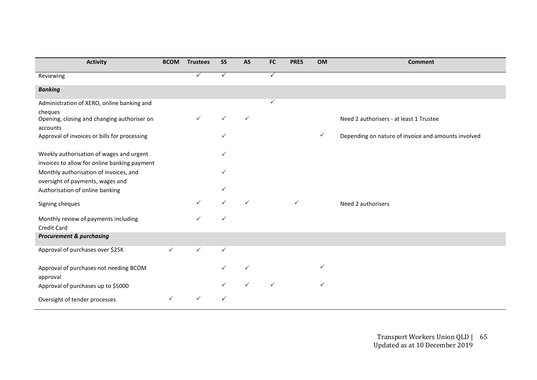| <b>Activity</b>                                                                          | <b>BCOM</b> | <b>Trustees</b> | <b>SS</b>    | <b>AS</b> | <b>FC</b> | <b>PRES</b>  | OM           | <b>Comment</b>                                      |
|------------------------------------------------------------------------------------------|-------------|-----------------|--------------|-----------|-----------|--------------|--------------|-----------------------------------------------------|
| Reviewing                                                                                |             |                 |              |           | ✓         |              |              |                                                     |
| <b>Banking</b>                                                                           |             |                 |              |           |           |              |              |                                                     |
| Administration of XERO, online banking and                                               |             |                 |              |           | ✓         |              |              |                                                     |
| cheques<br>Opening, closing and changing authoriser on<br>accounts                       |             |                 |              | ✓         |           |              |              | Need 2 authorisers - at least 1 Trustee             |
| Approval of invoices or bills for processing                                             |             |                 |              |           |           |              | $\checkmark$ | Depending on nature of invoice and amounts involved |
| Weekly authorisation of wages and urgent<br>invoices to allow for online banking payment |             |                 |              |           |           |              |              |                                                     |
| Monthly authorisation of invoices, and<br>oversight of payments, wages and               |             |                 |              |           |           |              |              |                                                     |
| Authorisation of online banking                                                          |             |                 |              |           |           |              |              |                                                     |
| Signing cheques                                                                          |             | ✓               |              | ✓         |           | $\checkmark$ |              | Need 2 authorisers                                  |
| Monthly review of payments including<br>Credit Card                                      |             |                 |              |           |           |              |              |                                                     |
| <b>Procurement &amp; purchasing</b>                                                      |             |                 |              |           |           |              |              |                                                     |
| Approval of purchases over \$25K                                                         | ✓           | $\checkmark$    | $\checkmark$ |           |           |              |              |                                                     |
| Approval of purchases not needing BCOM<br>approval                                       |             |                 |              |           |           |              | ✓            |                                                     |
| Approval of purchases up to \$5000                                                       |             |                 |              |           |           |              | ✓            |                                                     |
| Oversight of tender processes                                                            | ✓           |                 |              |           |           |              |              |                                                     |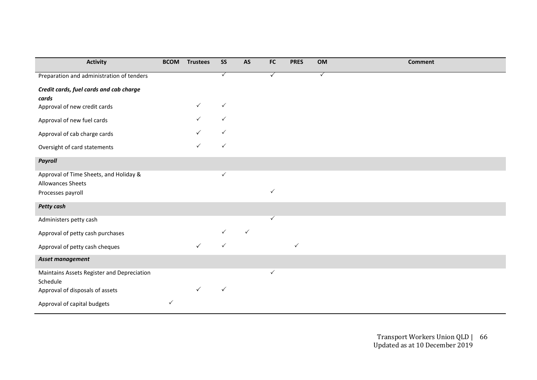| <b>Activity</b>                                                    | <b>BCOM</b>  | <b>Trustees</b> | SS           | AS | FC           | <b>PRES</b>  | OM           | <b>Comment</b> |
|--------------------------------------------------------------------|--------------|-----------------|--------------|----|--------------|--------------|--------------|----------------|
| Preparation and administration of tenders                          |              |                 | $\checkmark$ |    | $\checkmark$ |              | $\checkmark$ |                |
| Credit cards, fuel cards and cab charge<br>cards                   |              |                 |              |    |              |              |              |                |
| Approval of new credit cards                                       |              | ✓               | $\checkmark$ |    |              |              |              |                |
| Approval of new fuel cards                                         |              | ✓               | ✓            |    |              |              |              |                |
| Approval of cab charge cards                                       |              |                 |              |    |              |              |              |                |
| Oversight of card statements                                       |              | $\checkmark$    | $\checkmark$ |    |              |              |              |                |
| <b>Payroll</b>                                                     |              |                 |              |    |              |              |              |                |
| Approval of Time Sheets, and Holiday &<br><b>Allowances Sheets</b> |              |                 | $\checkmark$ |    |              |              |              |                |
| Processes payroll                                                  |              |                 |              |    | $\checkmark$ |              |              |                |
| <b>Petty cash</b>                                                  |              |                 |              |    |              |              |              |                |
| Administers petty cash                                             |              |                 |              |    | $\checkmark$ |              |              |                |
| Approval of petty cash purchases                                   |              |                 |              | ✓  |              |              |              |                |
| Approval of petty cash cheques                                     |              | $\checkmark$    | ✓            |    |              | $\checkmark$ |              |                |
| Asset management                                                   |              |                 |              |    |              |              |              |                |
| Maintains Assets Register and Depreciation<br>Schedule             |              |                 |              |    | ✓            |              |              |                |
| Approval of disposals of assets                                    |              |                 | $\checkmark$ |    |              |              |              |                |
| Approval of capital budgets                                        | $\checkmark$ |                 |              |    |              |              |              |                |